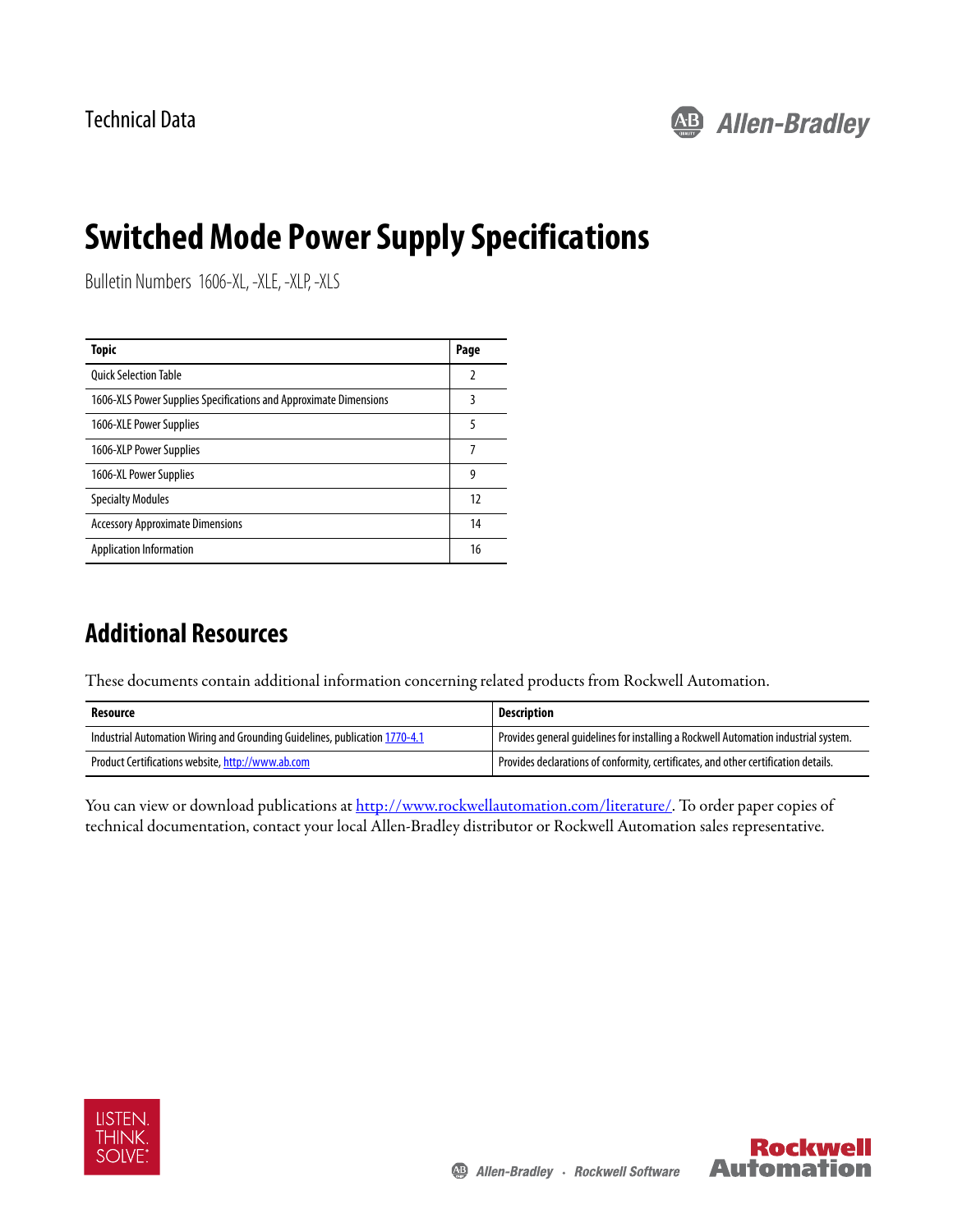

# **Switched Mode Power Supply Specifications**

Bulletin Numbers 1606-XL, -XLE, -XLP, -XLS

| Topic                                                             | Page |
|-------------------------------------------------------------------|------|
| <b>Ouick Selection Table</b>                                      |      |
| 1606-XLS Power Supplies Specifications and Approximate Dimensions | 3    |
| 1606-XLE Power Supplies                                           | 5    |
| 1606-XLP Power Supplies                                           | 7    |
| 1606-XL Power Supplies                                            | 9    |
| <b>Specialty Modules</b>                                          | 12   |
| <b>Accessory Approximate Dimensions</b>                           | 14   |
| <b>Application Information</b>                                    | 16   |

## **Additional Resources**

These documents contain additional information concerning related products from Rockwell Automation.

| Resource                                                                    | Description                                                                         |
|-----------------------------------------------------------------------------|-------------------------------------------------------------------------------------|
| Industrial Automation Wiring and Grounding Guidelines, publication 1770-4.1 | Provides general guidelines for installing a Rockwell Automation industrial system. |
| Product Certifications website, http://www.ab.com                           | Provides declarations of conformity, certificates, and other certification details. |

You can view or download publications at http://www.rockwellautomation.com/literature/. To order paper copies of technical documentation, contact your local Allen-Bradley distributor or Rockwell Automation sales representative.



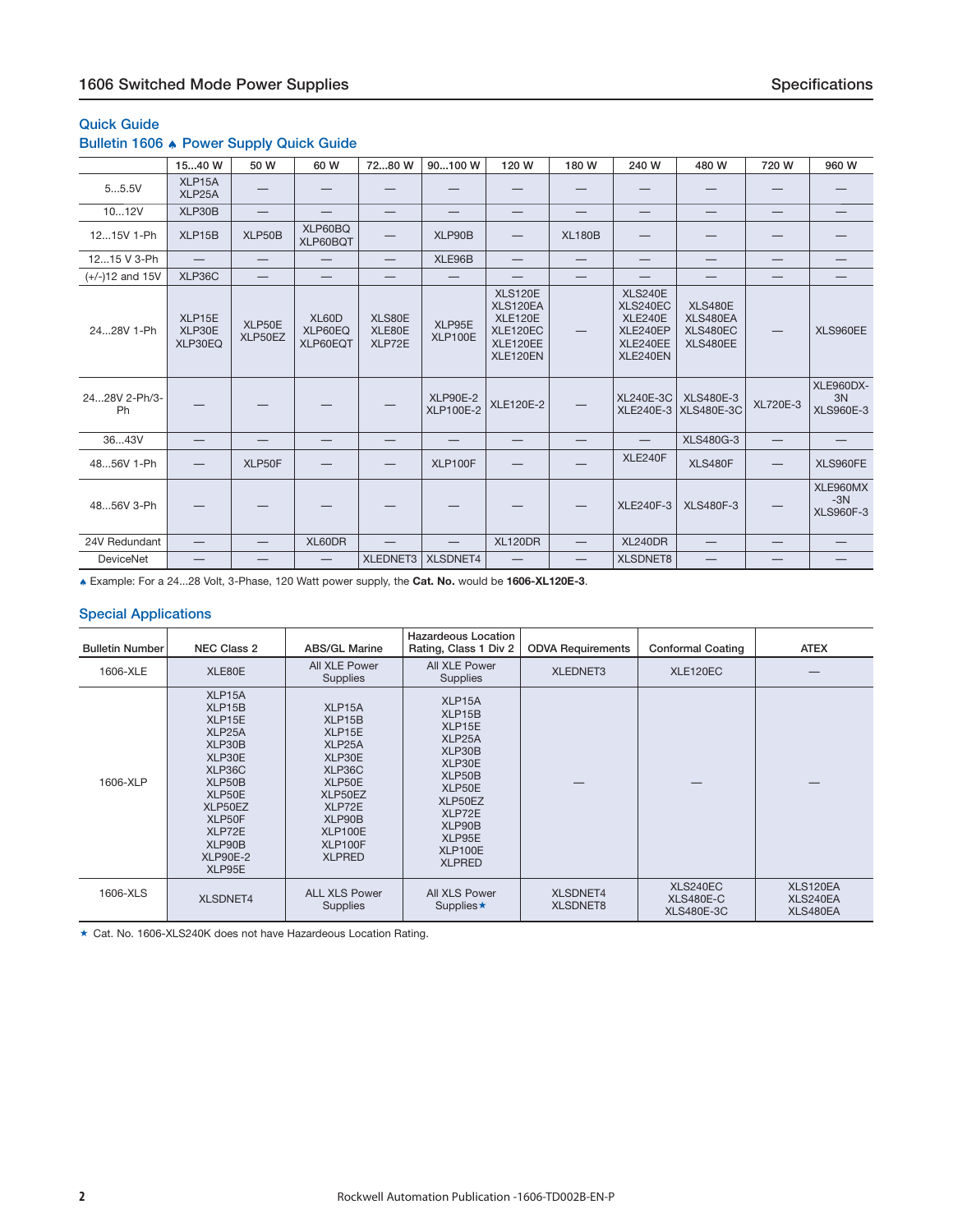### <span id="page-1-0"></span>**Quick Guide**

### **Bulletin 1606** ♠ **Power Supply Quick Guide**

|                     | 1540 W                      | 50 W                     | 60 W                            | 7280 W                     | 90100 W                             | 120 W                                                                            | 180 W                           | 240 W                                                                     | 480 W                                              | 720 W                           | 960 W                                      |
|---------------------|-----------------------------|--------------------------|---------------------------------|----------------------------|-------------------------------------|----------------------------------------------------------------------------------|---------------------------------|---------------------------------------------------------------------------|----------------------------------------------------|---------------------------------|--------------------------------------------|
| 55.5V               | XLP15A<br>XLP25A            |                          |                                 |                            |                                     |                                                                                  |                                 |                                                                           |                                                    |                                 |                                            |
| 1012V               | XLP30B                      |                          | $\hspace{0.1mm}-\hspace{0.1mm}$ | —                          | $\hspace{0.1mm}-\hspace{0.1mm}$     | $\hspace{0.1mm}-\hspace{0.1mm}$                                                  | $\hspace{0.1mm}-\hspace{0.1mm}$ | $\hspace{0.1mm}-\hspace{0.1mm}$                                           | $\hspace{0.1mm}-\hspace{0.1mm}$                    | $\hspace{0.1mm}-\hspace{0.1mm}$ | $\hspace{0.1mm}-\hspace{0.1mm}$            |
| 1215V 1-Ph          | XLP15B                      | XLP50B                   | XLP60BQ<br>XLP60BQT             | —                          | XLP90B                              | —                                                                                | <b>XL180B</b>                   |                                                                           |                                                    |                                 |                                            |
| 1215 V 3-Ph         | $\equiv$                    | —                        | —                               | $\overline{\phantom{0}}$   | XLE96B                              | —                                                                                | —                               | —                                                                         |                                                    | —                               |                                            |
| $(+/-)12$ and 15V   | XLP36C                      | $\overline{\phantom{0}}$ | —                               | —                          |                                     |                                                                                  | —                               |                                                                           |                                                    | –                               |                                            |
| 2428V 1-Ph          | XLP15E<br>XLP30E<br>XLP30EQ | XLP50E<br>XLP50EZ        | XL60D<br>XLP60EQ<br>XLP60EQT    | XLS80E<br>XLE80E<br>XLP72E | XLP95E<br>XLP100E                   | <b>XLS120E</b><br>XLS120EA<br><b>XLE120E</b><br>XLE120EC<br>XLE120EE<br>XLE120EN | $\overline{\phantom{m}}$        | <b>XLS240E</b><br>XLS240EC<br>XLE240E<br>XLE240EP<br>XLE240EE<br>XLE240EN | <b>XLS480E</b><br>XLS480EA<br>XLS480EC<br>XLS480EE |                                 | XLS960EE                                   |
| 2428V 2-Ph/3-<br>Ph |                             |                          |                                 |                            | <b>XLP90E-2</b><br><b>XLP100E-2</b> | <b>XLE120E-2</b>                                                                 |                                 | <b>XL240E-3C</b><br><b>XLE240E-3</b>                                      | <b>XLS480E-3</b><br><b>XLS480E-3C</b>              | <b>XL720E-3</b>                 | <b>XLE960DX-</b><br>3N<br><b>XLS960E-3</b> |
| 3643V               |                             |                          |                                 |                            |                                     |                                                                                  |                                 |                                                                           | <b>XLS480G-3</b>                                   | —                               |                                            |
| 4856V 1-Ph          |                             | XLP50F                   |                                 |                            | XLP100F                             |                                                                                  |                                 | XLE240F                                                                   | <b>XLS480F</b>                                     | –                               | XLS960FE                                   |
| 4856V 3-Ph          |                             |                          |                                 |                            |                                     |                                                                                  |                                 | <b>XLE240F-3</b>                                                          | <b>XLS480F-3</b>                                   |                                 | XLE960MX<br>$-3N$<br><b>XLS960F-3</b>      |
| 24V Redundant       | —                           | —                        | XL60DR                          |                            |                                     | <b>XL120DR</b>                                                                   | —                               | <b>XL240DR</b>                                                            |                                                    |                                 |                                            |
| DeviceNet           | —                           |                          | —                               | XLEDNET3                   | XLSDNET4                            | —                                                                                | $\overline{\phantom{0}}$        | <b>XLSDNET8</b>                                                           |                                                    | –                               |                                            |

♠ Example: For a 24...28 Volt, 3-Phase, 120 Watt power supply, the **Cat. No.** would be **1606-XL120E-3**.

#### **Special Applications**

| <b>Bulletin Number</b> | <b>NEC Class 2</b>                                                                                                                                                                     | <b>ABS/GL Marine</b>                                                                                                                                  | <b>Hazardeous Location</b><br>Rating, Class 1 Div 2                                                                                               | <b>ODVA Requirements</b>           | <b>Conformal Coating</b>                   | <b>ATEX</b>                      |
|------------------------|----------------------------------------------------------------------------------------------------------------------------------------------------------------------------------------|-------------------------------------------------------------------------------------------------------------------------------------------------------|---------------------------------------------------------------------------------------------------------------------------------------------------|------------------------------------|--------------------------------------------|----------------------------------|
| 1606-XLE               | XLE80E                                                                                                                                                                                 | All XLE Power<br><b>Supplies</b>                                                                                                                      | All XLE Power<br><b>Supplies</b>                                                                                                                  | <b>XLEDNET3</b>                    | XLE120EC                                   |                                  |
| 1606-XLP               | XLP <sub>15</sub> A<br>XLP15B<br>XLP15E<br>XLP <sub>25</sub> A<br>XLP30B<br>XLP30E<br>XLP36C<br>XLP50B<br>XLP50E<br>XLP50EZ<br>XLP50F<br>XLP72E<br>XLP90B<br><b>XLP90E-2</b><br>XLP95E | XLP <sub>15</sub> A<br>XLP15B<br>XLP15E<br>XLP25A<br>XLP30E<br>XLP36C<br>XLP50E<br>XLP50EZ<br>XLP72E<br>XLP90B<br>XLP100E<br>XLP100F<br><b>XLPRED</b> | XLP15A<br>XLP15B<br>XLP15E<br>XLP25A<br>XLP30B<br>XLP30E<br>XLP50B<br>XLP50E<br>XLP50EZ<br>XLP72E<br>XLP90B<br>XLP95E<br>XLP100E<br><b>XLPRED</b> |                                    |                                            |                                  |
| 1606-XLS               | <b>XLSDNET4</b>                                                                                                                                                                        | <b>ALL XLS Power</b><br>Supplies                                                                                                                      | All XLS Power<br>Supplies $\star$                                                                                                                 | <b>XLSDNET4</b><br><b>XLSDNET8</b> | XLS240EC<br>XLS480E-C<br><b>XLS480E-3C</b> | XLS120EA<br>XLS240EA<br>XLS480EA |

★ Cat. No. 1606-XLS240K does not have Hazardeous Location Rating.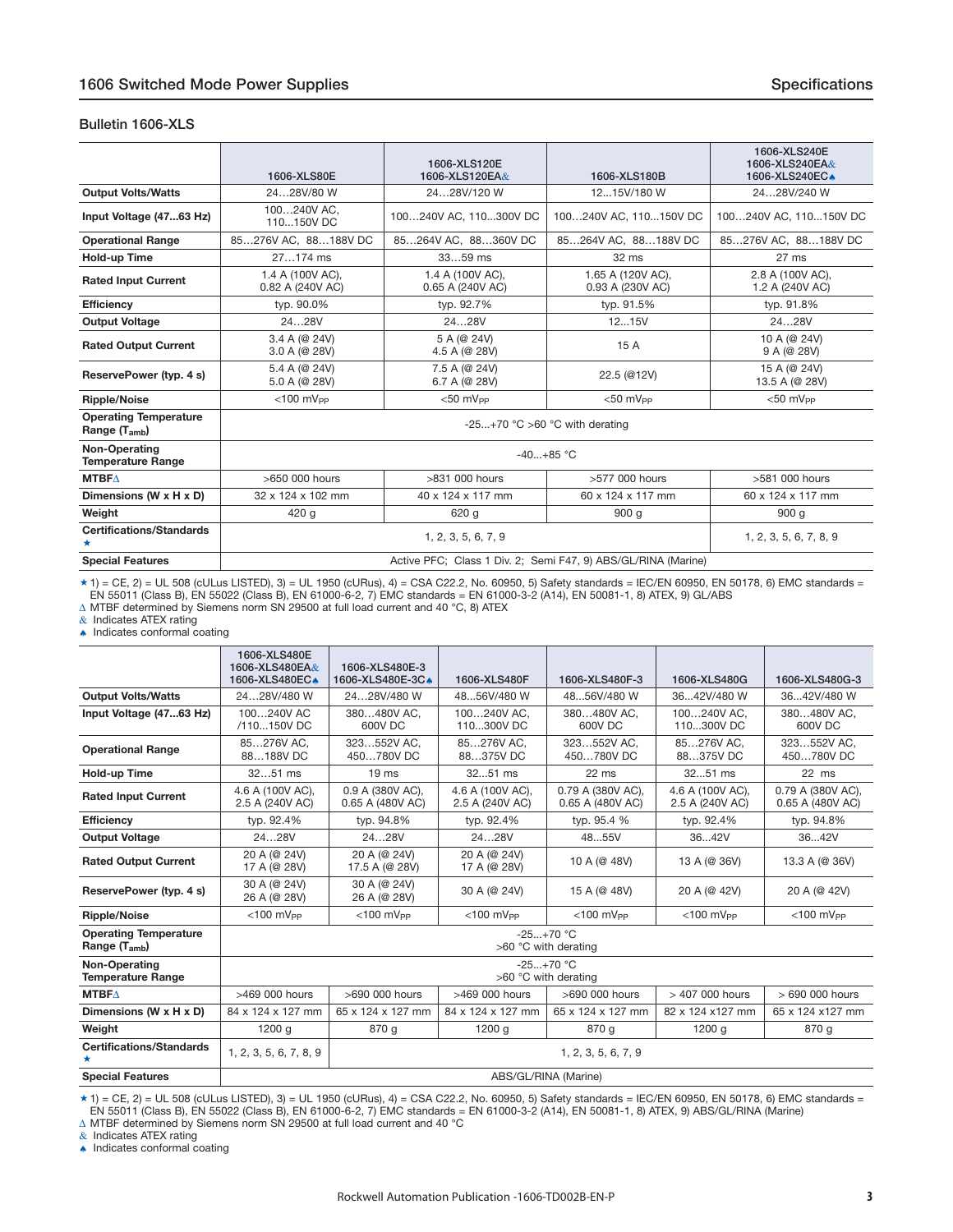#### <span id="page-2-0"></span>**Bulletin 1606-XLS**

|                                                           | 1606-XLS120E<br>1606-XLS120EA&<br>1606-XLS80E<br>1606-XLS180B |                                      | 1606-XLS240E<br>1606-XLS240EA&<br>1606-XLS240EC.              |                                     |
|-----------------------------------------------------------|---------------------------------------------------------------|--------------------------------------|---------------------------------------------------------------|-------------------------------------|
| <b>Output Volts/Watts</b>                                 | 2428V/80 W                                                    | 2428V/120 W                          | 1215V/180 W                                                   | 2428V/240 W                         |
| Input Voltage (4763 Hz)                                   | 100240V AC,<br>110150V DC                                     | 100240V AC, 110300V DC               | 100240V AC, 110150V DC                                        | 100240V AC, 110150V DC              |
| <b>Operational Range</b>                                  | 85276V AC, 88188V DC                                          | 85264V AC, 88360V DC                 | 85264V AC, 88188V DC                                          | 85276V AC, 88188V DC                |
| Hold-up Time                                              | $27174$ ms                                                    | $3359$ ms                            | $32 \text{ ms}$                                               | $27 \text{ ms}$                     |
| <b>Rated Input Current</b>                                | 1.4 A (100V AC),<br>0.82 A (240V AC)                          | 1.4 A (100V AC),<br>0.65 A (240V AC) | 1.65 A (120V AC),<br>0.93 A (230V AC)                         | 2.8 A (100V AC),<br>1.2 A (240V AC) |
| <b>Efficiency</b>                                         | typ. 90.0%                                                    | typ. 92.7%                           | typ. 91.5%                                                    | typ. 91.8%                          |
| <b>Output Voltage</b>                                     | 2428V                                                         | 2428V                                | 1215V                                                         | 2428V                               |
| <b>Rated Output Current</b>                               | 3.4 A (@ 24V)<br>3.0 A (@ 28V)                                | 5 A (@ 24V)<br>4.5 A (@ 28V)         | 15 A                                                          | 10 A (@ 24V)<br>9 A (@ 28V)         |
| ReservePower (typ. 4 s)                                   | 5.4 A (@ 24V)<br>5.0 A (@ 28V)                                | 7.5 A (@ 24V)<br>6.7 A (@ 28V)       | 22.5 (@12V)                                                   | 15 A (@ 24V)<br>13.5 A (@ 28V)      |
| <b>Ripple/Noise</b>                                       | $<$ 100 mV <sub>PP</sub>                                      | $< 50$ mV <sub>pp</sub>              | $< 50$ mV <sub>pp</sub>                                       | $<$ 50 mV <sub>pp</sub>             |
| <b>Operating Temperature</b><br>Range (T <sub>amb</sub> ) |                                                               | -25+70 °C >60 °C with derating       |                                                               |                                     |
| <b>Non-Operating</b><br><b>Temperature Range</b>          |                                                               |                                      | $-40+85$ °C                                                   |                                     |
| <b>MTBFA</b>                                              | $>650$ 000 hours                                              | $>831$ 000 hours                     | $>577$ 000 hours                                              | >581 000 hours                      |
| Dimensions (W x H x D)                                    | 32 x 124 x 102 mm                                             | 40 x 124 x 117 mm                    | 60 x 124 x 117 mm                                             | 60 x 124 x 117 mm                   |
| Weight                                                    | 420 g                                                         | 620 g                                | 900q                                                          | 900 <sub>g</sub>                    |
| <b>Certifications/Standards</b>                           |                                                               | 1, 2, 3, 5, 6, 7, 9                  |                                                               | 1, 2, 3, 5, 6, 7, 8, 9              |
| <b>Special Features</b>                                   |                                                               |                                      | Active PFC; Class 1 Div. 2; Semi F47, 9) ABS/GL/RINA (Marine) |                                     |

 $\star$  1) = CE, 2) = UL 508 (cULus LISTED), 3) = UL 1950 (cURus), 4) = CSA C22.2, No. 60950, 5) Safety standards = IEC/EN 60950, EN 50178, 6) EMC standards = EN 55011 (Class B), EN 55022 (Class B), EN 61000-6-2, 7) EMC standards = EN 61000-3-2 (A14), EN 50081-1, 8) ATEX, 9) GL/ABS

Δ MTBF determined by Siemens norm SN 29500 at full load current and 40 °C, 8) ATEX

 $\&$  Indicates ATEX rating ♠ Indicates conformal coating

|                                                   | 1606-XLS480E                        |                                      |                                     |                                       |                                     |                                       |
|---------------------------------------------------|-------------------------------------|--------------------------------------|-------------------------------------|---------------------------------------|-------------------------------------|---------------------------------------|
|                                                   | 1606-XLS480EA&<br>1606-XLS480EC.    | 1606-XLS480E-3<br>1606-XLS480E-3CA   | 1606-XLS480F                        | 1606-XLS480F-3                        | 1606-XLS480G                        | 1606-XLS480G-3                        |
| <b>Output Volts/Watts</b>                         | 2428V/480 W                         | 2428V/480 W                          | 4856V/480 W                         | 4856V/480 W                           | 3642V/480 W                         | 3642V/480 W                           |
| Input Voltage (4763 Hz)                           | 100240V AC<br>/110150V DC           | 380480V AC.<br>600V DC               | 100240V AC,<br>110300V DC           | 380480V AC.<br>600V DC                | 100240V AC.<br>110300V DC           | 380480V AC.<br>600V DC                |
| <b>Operational Range</b>                          | 85276V AC.<br>88188V DC             | 323552V AC.<br>450780V DC            | 85276V AC.<br>88375V DC             | 323552V AC.<br>450780V DC             | 85276V AC.<br>88375V DC             | 323552V AC.<br>450780V DC             |
| <b>Hold-up Time</b>                               | $3251$ ms                           | 19 <sub>ms</sub>                     | 3251 ms                             | 22 ms                                 | 3251 ms                             | $22$ ms                               |
| <b>Rated Input Current</b>                        | 4.6 A (100V AC),<br>2.5 A (240V AC) | 0.9 A (380V AC),<br>0.65 A (480V AC) | 4.6 A (100V AC),<br>2.5 A (240V AC) | 0.79 A (380V AC),<br>0.65 A (480V AC) | 4.6 A (100V AC),<br>2.5 A (240V AC) | 0.79 A (380V AC),<br>0.65 A (480V AC) |
| <b>Efficiency</b>                                 | typ. 92.4%                          | typ. 94.8%                           | typ. 92.4%                          | typ. 95.4 %                           | typ. 92.4%                          | typ. 94.8%                            |
| <b>Output Voltage</b>                             | 2428V                               | 2428V                                | 2428V                               | 4855V                                 | 3642V                               | 3642V                                 |
| <b>Rated Output Current</b>                       | 20 A (@ 24V)<br>17 A (@ 28V)        | 20 A (@ 24V)<br>17.5 A (@ 28V)       | 20 A (@ 24V)<br>17 A (@ 28V)        | 10 A (@ 48V)                          | 13 A (@ 36V)                        | 13.3 A (@ 36V)                        |
| ReservePower (typ. 4 s)                           | 30 A (@ 24V)<br>26 A (@ 28V)        | 30 A (@ 24V)<br>26 A (@ 28V)         | 30 A (@ 24V)                        | 15 A (@ 48V)                          | 20 A (@ 42V)                        | 20 A (@ 42V)                          |
| <b>Ripple/Noise</b>                               | $<$ 100 mV <sub>PP</sub>            | $<$ 100 mV <sub>PP</sub>             | $<$ 100 mV <sub>PP</sub>            | $<$ 100 mV <sub>pp</sub>              | $<$ 100 mV <sub>PP</sub>            | $<$ 100 mV <sub>PP</sub>              |
| <b>Operating Temperature</b><br>Range $(T_{amb})$ |                                     |                                      |                                     | $-25+70$ °C<br>>60 °C with derating   |                                     |                                       |
| Non-Operating<br><b>Temperature Range</b>         |                                     |                                      |                                     | $-25+70$ °C<br>>60 °C with derating   |                                     |                                       |
| <b>MTBF</b> $\Delta$                              | >469 000 hours                      | >690 000 hours                       | >469 000 hours                      | >690 000 hours                        | > 407 000 hours                     | > 690 000 hours                       |
| Dimensions (W x H x D)                            | 84 x 124 x 127 mm                   | 65 x 124 x 127 mm                    | 84 x 124 x 127 mm                   | 65 x 124 x 127 mm                     | 82 x 124 x127 mm                    | 65 x 124 x127 mm                      |
| Weight                                            | 1200 g                              | 870 g                                | 1200q                               | 870 g                                 | 1200 g                              | 870 g                                 |
| <b>Certifications/Standards</b>                   | 1, 2, 3, 5, 6, 7, 8, 9              |                                      |                                     | 1, 2, 3, 5, 6, 7, 9                   |                                     |                                       |
| <b>Special Features</b>                           | ABS/GL/RINA (Marine)                |                                      |                                     |                                       |                                     |                                       |

\* 1) = CE, 2) = UL 508 (cULus LISTED), 3) = UL 1950 (cURus), 4) = CSA C22.2, No. 60950, 5) Safety standards = IEC/EN 60950, EN 50178, 6) EMC standards =<br>EN 55011 (Class B), EN 55022 (Class B), EN 61000-6-2, 7) EMC standar

& Indicates ATEX rating

♠ Indicates conformal coating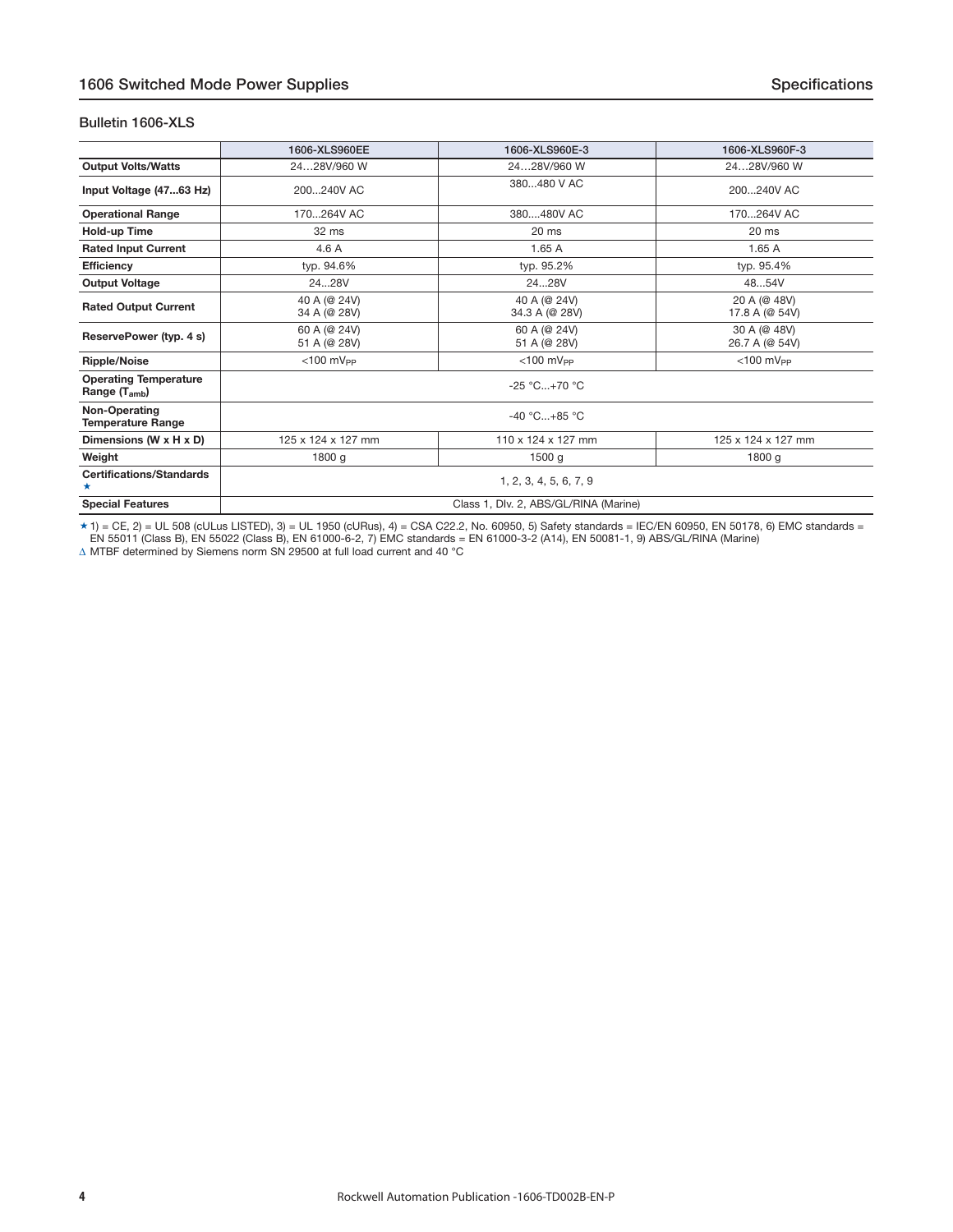#### **Bulletin 1606-XLS**

|                                                   | 1606-XLS960EE                | 1606-XLS960E-3                        | 1606-XLS960F-3                 |  |  |  |  |  |
|---------------------------------------------------|------------------------------|---------------------------------------|--------------------------------|--|--|--|--|--|
| <b>Output Volts/Watts</b>                         | 2428V/960 W                  | 2428V/960 W                           | 2428V/960 W                    |  |  |  |  |  |
| Input Voltage (4763 Hz)                           | 200240V AC                   | 380480 V AC                           | 200240V AC                     |  |  |  |  |  |
| <b>Operational Range</b>                          | 170264V AC                   | 380480V AC                            | 170264V AC                     |  |  |  |  |  |
| Hold-up Time                                      | 32 ms                        | 20 ms                                 | 20 ms                          |  |  |  |  |  |
| <b>Rated Input Current</b>                        | 4.6A                         | 1.65A                                 | 1.65A                          |  |  |  |  |  |
| <b>Efficiency</b>                                 | typ. 94.6%                   | typ. 95.2%                            | typ. 95.4%                     |  |  |  |  |  |
| <b>Output Voltage</b>                             | 2428V                        | 2428V                                 | 4854V                          |  |  |  |  |  |
| <b>Rated Output Current</b>                       | 40 A (@ 24V)<br>34 A (@ 28V) | 40 A (@ 24V)<br>34.3 A (@ 28V)        | 20 A (@ 48V)<br>17.8 A (@ 54V) |  |  |  |  |  |
| ReservePower (typ. 4 s)                           | 60 A (@ 24V)<br>51 A (@ 28V) | 60 A (@ 24V)<br>51 A (@ 28V)          | 30 A (@ 48V)<br>26.7 A (@ 54V) |  |  |  |  |  |
| <b>Ripple/Noise</b>                               | $<$ 100 mV <sub>PP</sub>     | $<$ 100 mV <sub>PP</sub>              | $<$ 100 $mV_{PP}$              |  |  |  |  |  |
| <b>Operating Temperature</b><br>Range $(T_{amb})$ |                              | $-25 °C+70 °C$                        |                                |  |  |  |  |  |
| Non-Operating<br><b>Temperature Range</b>         |                              | $-40 °C+85 °C$                        |                                |  |  |  |  |  |
| Dimensions (W x H x D)                            | 125 x 124 x 127 mm           | 110 x 124 x 127 mm                    | 125 x 124 x 127 mm             |  |  |  |  |  |
| Weight                                            | 1800 g                       | 1500q                                 | 1800 g                         |  |  |  |  |  |
| <b>Certifications/Standards</b><br>*              |                              | 1, 2, 3, 4, 5, 6, 7, 9                |                                |  |  |  |  |  |
| <b>Special Features</b>                           |                              | Class 1, Dlv. 2, ABS/GL/RINA (Marine) |                                |  |  |  |  |  |

 $\star$  1) = CE, 2) = UL 508 (cULus LISTED), 3) = UL 1950 (cURus), 4) = CSA C22.2, No. 60950, 5) Safety standards = IEC/EN 60950, EN 50178, 6) EMC standards = EN 55011 (Class B), EN 55022 (Class B), EN 61000-6-2, 7) EMC standards = EN 61000-3-2 (A14), EN 50081-1, 9) ABS/GL/RINA (Marine) Δ MTBF determined by Siemens norm SN 29500 at full load current and 40 °C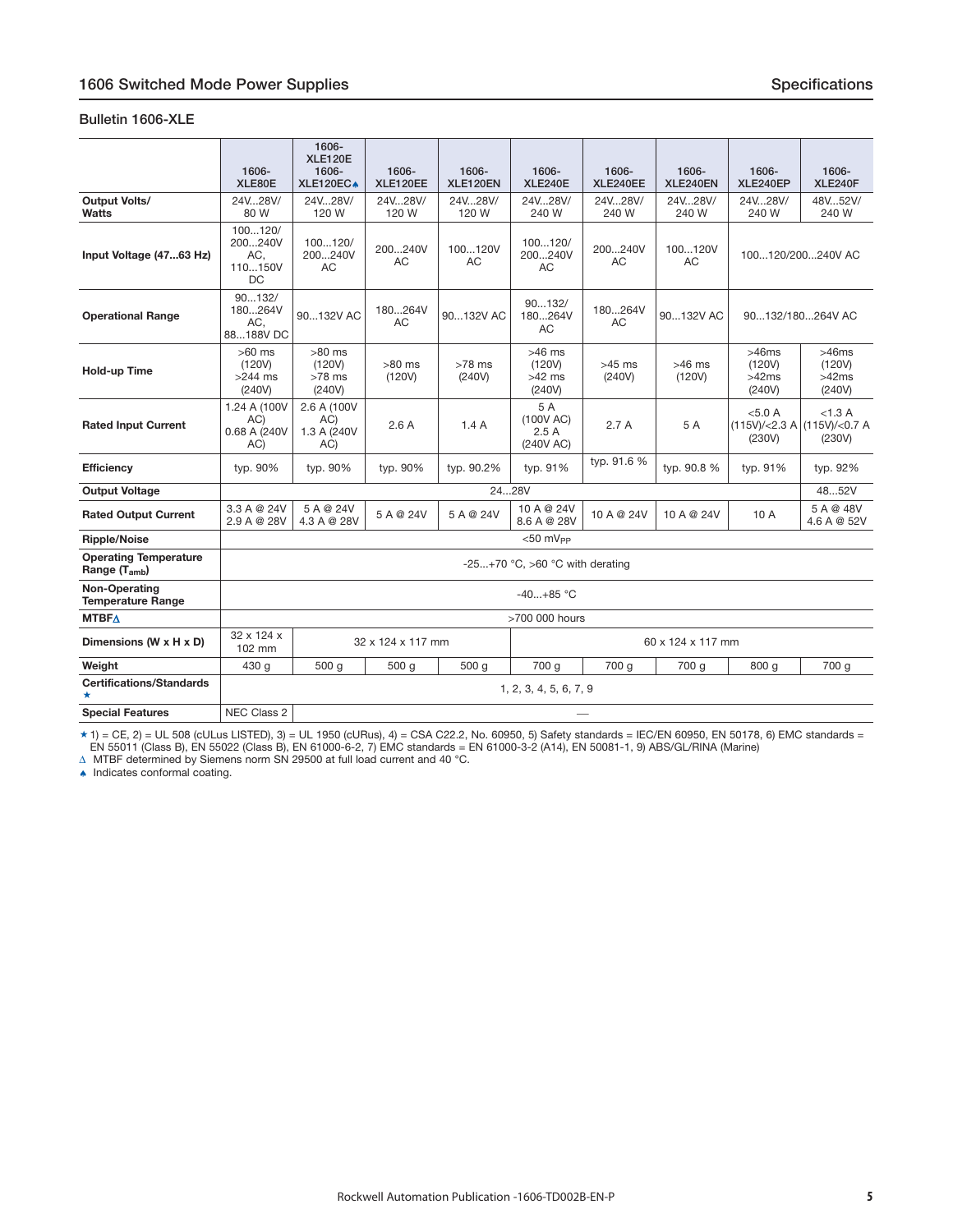#### <span id="page-4-0"></span>**Bulletin 1606-XLE**

|                                                   | 1606-<br>XLE80E                                   | 1606-<br><b>XLE120E</b><br>1606-<br>XLE120EC+ | 1606-<br><b>XLE120EE</b> | 1606-<br>XLE120EN  | 1606-<br><b>XLE240E</b>                  | 1606-<br>XLE240EE  | 1606-<br>XLE240EN  | 1606-<br>XLE240EP                  | 1606-<br>XLE240F                                 |
|---------------------------------------------------|---------------------------------------------------|-----------------------------------------------|--------------------------|--------------------|------------------------------------------|--------------------|--------------------|------------------------------------|--------------------------------------------------|
| <b>Output Volts/</b><br><b>Watts</b>              | 24V28V/<br>80 W                                   | 24V28V/<br>120 W                              | 24V28V/<br>120 W         | 24V28V/<br>120 W   | 24V28V/<br>240 W                         | 24V28V/<br>240 W   | 24V28V/<br>240 W   | 24V28V/<br>240 W                   | 48V52V/<br>240 W                                 |
| Input Voltage (4763 Hz)                           | 100120/<br>200240V<br>AC,<br>110150V<br><b>DC</b> | 100120/<br>200240V<br><b>AC</b>               | 200240V<br>АC            | 100120V<br>AC      | 100120/<br>200240V<br>AC                 | 200240V<br>AC      | 100120V<br>AC      |                                    | 100120/200240V AC                                |
| <b>Operational Range</b>                          | 90132/<br>180264V<br>AC.<br>88188V DC             | 90132V AC                                     | 180264V<br>AC            | 90132V AC          | 90132/<br>180264V<br>AC                  | 180264V<br>AC.     | 90132V AC          | 90132/180264V AC                   |                                                  |
| <b>Hold-up Time</b>                               | $>60$ ms<br>(120V)<br>$>244$ ms<br>(240V)         | $>80$ ms<br>(120V)<br>$>78$ ms<br>(240V)      | $>80$ ms<br>(120V)       | $>78$ ms<br>(240V) | $>46$ ms<br>(120V)<br>$>42$ ms<br>(240V) | $>45$ ms<br>(240V) | $>46$ ms<br>(120V) | >46ms<br>(120V)<br>>42ms<br>(240V) | >46ms<br>(120V)<br>>42ms<br>(240V)               |
| <b>Rated Input Current</b>                        | 1.24 A (100V<br>AC)<br>0.68 A (240V<br>AC)        | 2.6 A (100V<br>AC)<br>1.3 A (240V<br>AC)      | 2.6A                     | 1.4A               | 5 A<br>(100V AC)<br>2.5A<br>(240V AC)    | 2.7A               | 5 A                | < 5.0 A<br>(230V)                  | < 1.3 A<br>(115V)/<2.3 A (115V)/<0.7 A<br>(230V) |
| <b>Efficiency</b>                                 | typ. 90%                                          | typ. 90%                                      | typ. 90%                 | typ. 90.2%         | typ. 91%                                 | typ. 91.6 %        | typ. 90.8 %        | typ. 91%                           | typ. 92%                                         |
| <b>Output Voltage</b>                             |                                                   |                                               |                          | 2428V              |                                          |                    |                    |                                    | 4852V                                            |
| <b>Rated Output Current</b>                       | 3.3 A @ 24V<br>2.9 A @ 28V                        | 5 A @ 24V<br>4.3 A @ 28V                      | 5 A @ 24V                | 5 A @ 24V          | 10 A @ 24V<br>8.6 A @ 28V                | 10 A @ 24V         | 10 A @ 24V         | 10 A                               | 5 A @ 48V<br>4.6 A @ 52V                         |
| <b>Ripple/Noise</b>                               |                                                   |                                               |                          |                    | $<$ 50 mV <sub>PP</sub>                  |                    |                    |                                    |                                                  |
| <b>Operating Temperature</b><br>Range $(T_{amb})$ |                                                   |                                               |                          |                    | -25+70 °C, >60 °C with derating          |                    |                    |                                    |                                                  |
| Non-Operating<br><b>Temperature Range</b>         |                                                   |                                               |                          |                    | $-40+85$ °C                              |                    |                    |                                    |                                                  |
| <b>MTBFA</b>                                      |                                                   |                                               |                          |                    | >700 000 hours                           |                    |                    |                                    |                                                  |
| Dimensions (W x H x D)                            | 32 x 124 x<br>102 mm                              |                                               | 32 x 124 x 117 mm        |                    |                                          |                    | 60 x 124 x 117 mm  |                                    |                                                  |
| Weight                                            | 430 g                                             | 500 g                                         | 500 g                    | 500 g              | 700 g                                    | 700 g              | 700 g              | 800 g                              | 700 g                                            |
| <b>Certifications/Standards</b><br>$\star$        |                                                   |                                               |                          |                    | 1, 2, 3, 4, 5, 6, 7, 9                   |                    |                    |                                    |                                                  |
| <b>Special Features</b>                           | NEC Class 2                                       |                                               |                          |                    |                                          |                    |                    |                                    |                                                  |

 $\star$  1) = CE, 2) = UL 508 (cULus LISTED), 3) = UL 1950 (cURus), 4) = CSA C22.2, No. 60950, 5) Safety standards = IEC/EN 60950, EN 50178, 6) EMC standards = EN 55011 (Class B), EN 55022 (Class B), EN 61000-6-2, 7) EMC standards = EN 61000-3-2 (A14), EN 50081-1, 9) ABS/GL/RINA (Marine)<br>∆ MTBF determined by Siemens norm SN 29500 at full load current and 40 °C.<br>▲ Indicates confo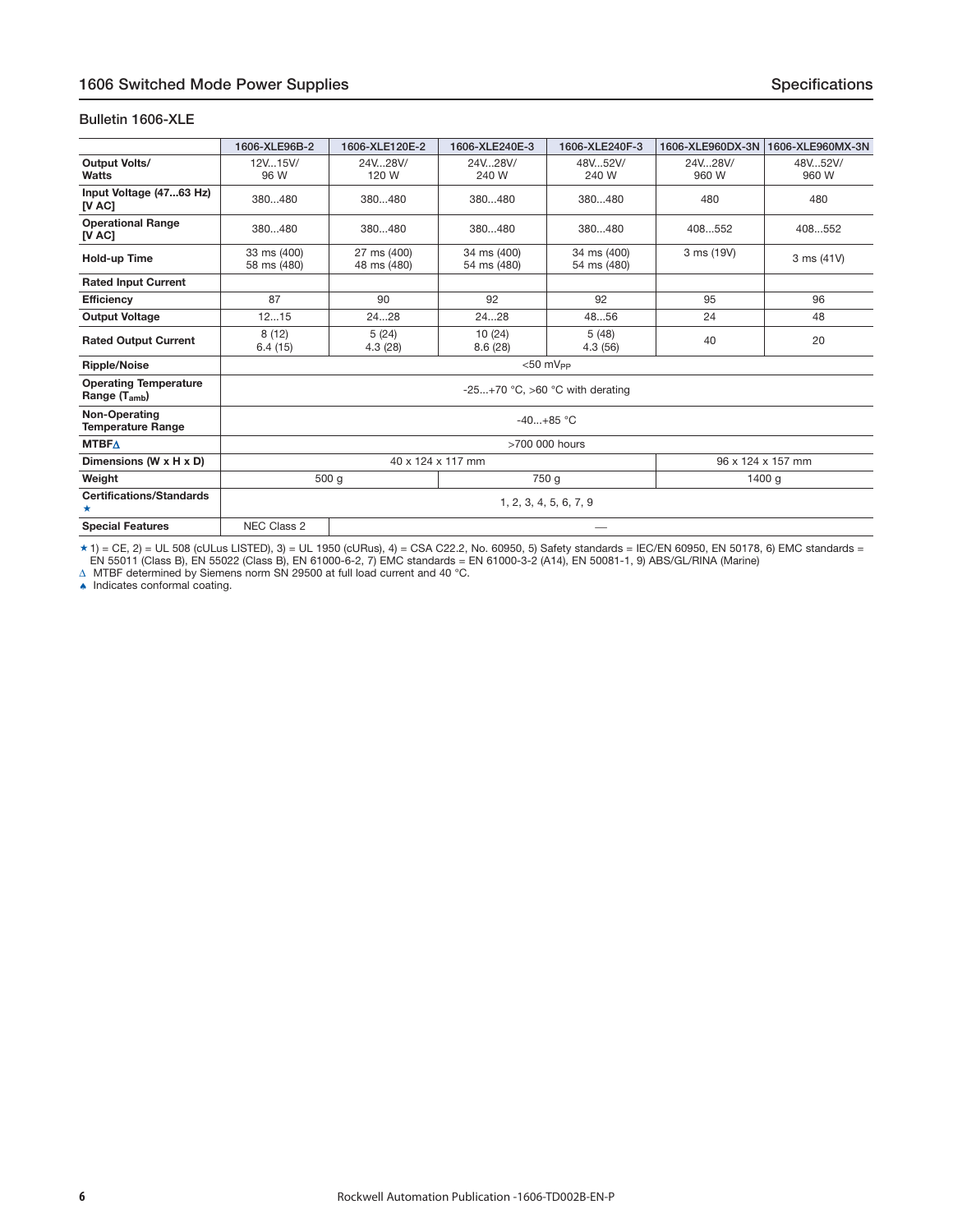#### **Bulletin 1606-XLE**

|                                                   | 1606-XLE96B-2              | 1606-XLE120E-2             | 1606-XLE240E-3                  | 1606-XLE240F-3             | 1606-XLE960DX-3N | 1606-XLE960MX-3N  |  |
|---------------------------------------------------|----------------------------|----------------------------|---------------------------------|----------------------------|------------------|-------------------|--|
| <b>Output Volts/</b><br>Watts                     | 12V15V/<br>96 W            | 24V28V/<br>120 W           | 24V., 28V/<br>240 W             | 48V.52V/<br>240 W          | 24V28V/<br>960 W | 48V52V/<br>960 W  |  |
| Input Voltage (4763 Hz)<br>[V AC]                 | 380480                     | 380480                     | 380480                          | 380480                     | 480              | 480               |  |
| <b>Operational Range</b><br>[V AC]                | 380480                     | 380480                     | 380480                          | 380480                     | 408552           | 408552            |  |
| Hold-up Time                                      | 33 ms (400)<br>58 ms (480) | 27 ms (400)<br>48 ms (480) | 34 ms (400)<br>54 ms (480)      | 34 ms (400)<br>54 ms (480) | 3 ms (19V)       | 3 ms (41V)        |  |
| <b>Rated Input Current</b>                        |                            |                            |                                 |                            |                  |                   |  |
| Efficiency                                        | 87                         | 90                         | 92                              | 92                         | 95               | 96                |  |
| <b>Output Voltage</b>                             | 1215                       | 2428                       | 2428                            | 4856                       | 24               | 48                |  |
| <b>Rated Output Current</b>                       | 8(12)<br>6.4(15)           | 5(24)<br>4.3(28)           | 10 (24)<br>8.6(28)              | 5(48)<br>4.3(56)           | 40               | 20                |  |
| <b>Ripple/Noise</b>                               |                            |                            |                                 | $<$ 50 mV <sub>pp</sub>    |                  |                   |  |
| <b>Operating Temperature</b><br>Range $(T_{amb})$ |                            |                            | -25+70 °C, >60 °C with derating |                            |                  |                   |  |
| Non-Operating<br><b>Temperature Range</b>         |                            |                            | $-40+85$ °C                     |                            |                  |                   |  |
| <b>MTBFA</b>                                      |                            |                            | >700 000 hours                  |                            |                  |                   |  |
| Dimensions (W x H x D)                            |                            |                            | 40 x 124 x 117 mm               |                            |                  | 96 x 124 x 157 mm |  |
| Weight                                            |                            | 500 g                      |                                 | 750 g                      |                  | 1400q             |  |
| <b>Certifications/Standards</b><br>*              |                            | 1, 2, 3, 4, 5, 6, 7, 9     |                                 |                            |                  |                   |  |
| <b>Special Features</b>                           | NEC Class 2                |                            |                                 |                            |                  |                   |  |

 $\star$  1) = CE, 2) = UL 508 (cULus LISTED), 3) = UL 1950 (cURus), 4) = CSA C22.2, No. 60950, 5) Safety standards = IEC/EN 60950, EN 50178, 6) EMC standards = EN 55011 (Class B), EN 55022 (Class B), EN 61000-6-2, 7) EMC standards = EN 61000-3-2 (A14), EN 50081-1, 9) ABS/GL/RINA (Marine)<br>∆ MTBF determined by Siemens norm SN 29500 at full load current and 40 °C.<br>▲ Indicates confo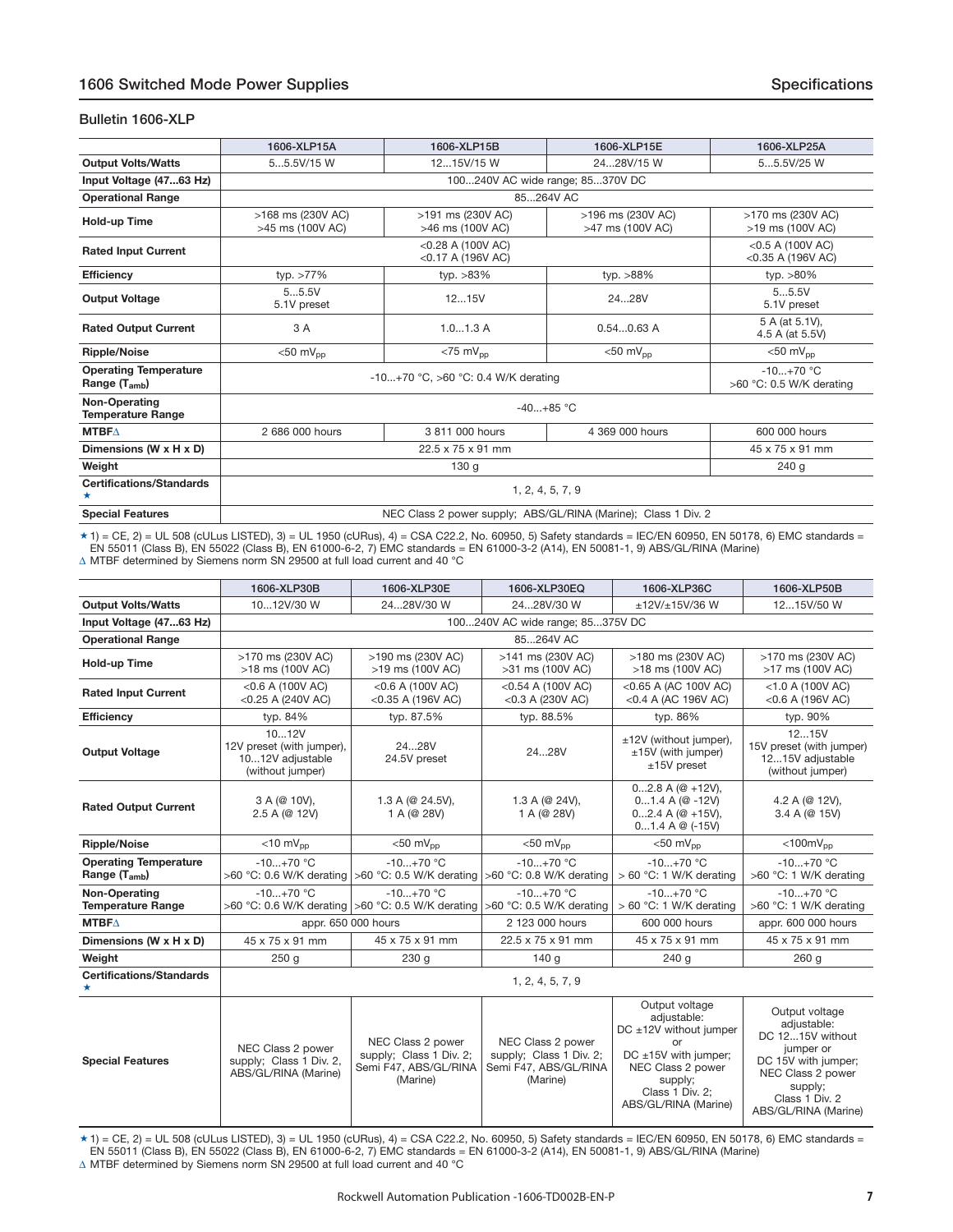#### <span id="page-6-0"></span>**Bulletin 1606-XLP**

|                                                   | 1606-XLP15A                           | 1606-XLP15B                                                    | 1606-XLP15E                           | 1606-XLP25A                                 |  |  |  |  |  |  |
|---------------------------------------------------|---------------------------------------|----------------------------------------------------------------|---------------------------------------|---------------------------------------------|--|--|--|--|--|--|
| <b>Output Volts/Watts</b>                         | 55.5V/15 W                            | 1215V/15 W                                                     | 2428V/15 W                            | 55.5V/25 W                                  |  |  |  |  |  |  |
| Input Voltage (4763 Hz)                           | 100240V AC wide range; 85370V DC      |                                                                |                                       |                                             |  |  |  |  |  |  |
| <b>Operational Range</b>                          | 85264V AC                             |                                                                |                                       |                                             |  |  |  |  |  |  |
| Hold-up Time                                      | >168 ms (230V AC)<br>>45 ms (100V AC) | >191 ms (230V AC)<br>>46 ms (100V AC)                          | >196 ms (230V AC)<br>>47 ms (100V AC) | >170 ms (230V AC)<br>>19 ms (100V AC)       |  |  |  |  |  |  |
| <b>Rated Input Current</b>                        |                                       | <0.28 A (100V AC)<br><0.17 A (196V AC)                         |                                       | $<$ 0.5 A (100V AC)<br>$<$ 0.35 A (196V AC) |  |  |  |  |  |  |
| <b>Efficiency</b>                                 | typ. $>77\%$                          | typ. $>83\%$                                                   | typ. >88%                             | typ. $>80\%$                                |  |  |  |  |  |  |
| <b>Output Voltage</b>                             | 55.5V<br>5.1V preset                  | 1215V                                                          | 2428V                                 | 55.5V<br>5.1V preset                        |  |  |  |  |  |  |
| <b>Rated Output Current</b>                       | 3 A                                   | 1.01.3A                                                        | $0.540.63$ A                          | 5 A (at 5.1V),<br>4.5 A (at 5.5V)           |  |  |  |  |  |  |
| <b>Ripple/Noise</b>                               | $<$ 50 mV <sub>pp</sub>               | $<$ 75 m $V_{\text{pp}}$                                       | $< 50$ mV <sub>pp</sub>               | $< 50$ mV <sub>pp</sub>                     |  |  |  |  |  |  |
| <b>Operating Temperature</b><br>Range $(T_{amb})$ |                                       | -10+70 °C, >60 °C: 0.4 W/K derating                            |                                       | $-10+70$ °C<br>$>60$ °C: 0.5 W/K derating   |  |  |  |  |  |  |
| Non-Operating<br><b>Temperature Range</b>         |                                       |                                                                | $-40+85$ °C                           |                                             |  |  |  |  |  |  |
| <b>MTBFA</b>                                      | 2 686 000 hours                       | 3 811 000 hours                                                | 4 369 000 hours                       | 600 000 hours                               |  |  |  |  |  |  |
| Dimensions (W x H x D)                            |                                       | 22.5 x 75 x 91 mm                                              |                                       | 45 x 75 x 91 mm                             |  |  |  |  |  |  |
| Weight                                            |                                       | 130 <sub>g</sub>                                               |                                       | 240 g                                       |  |  |  |  |  |  |
| <b>Certifications/Standards</b>                   |                                       |                                                                | 1, 2, 4, 5, 7, 9                      |                                             |  |  |  |  |  |  |
| <b>Special Features</b>                           |                                       | NEC Class 2 power supply; ABS/GL/RINA (Marine); Class 1 Div. 2 |                                       |                                             |  |  |  |  |  |  |

 $\star$  1) = CE, 2) = UL 508 (cULus LISTED), 3) = UL 1950 (cURus), 4) = CSA C22.2, No. 60950, 5) Safety standards = IEC/EN 60950, EN 50178, 6) EMC standards = EN 55011 (Class B), EN 55022 (Class B), EN 61000-6-2, 7) EMC standards = EN 61000-3-2 (A14), EN 50081-1, 9) ABS/GL/RINA (Marine) Δ MTBF determined by Siemens norm SN 29500 at full load current and 40 °C

|                                                           | 1606-XLP30B<br>1606-XLP30E                                                 |                                                                                                 | 1606-XLP30EQ                                                                      | 1606-XLP36C                                                                                                                                                           | 1606-XLP50B                                                                                                                                                     |  |  |  |  |  |
|-----------------------------------------------------------|----------------------------------------------------------------------------|-------------------------------------------------------------------------------------------------|-----------------------------------------------------------------------------------|-----------------------------------------------------------------------------------------------------------------------------------------------------------------------|-----------------------------------------------------------------------------------------------------------------------------------------------------------------|--|--|--|--|--|
| <b>Output Volts/Watts</b>                                 | 1012V/30 W                                                                 | 2428V/30 W                                                                                      | 2428V/30 W                                                                        | $±12V/+15V/36 W$                                                                                                                                                      | 1215V/50 W                                                                                                                                                      |  |  |  |  |  |
| Input Voltage (4763 Hz)                                   |                                                                            | 100240V AC wide range; 85375V DC                                                                |                                                                                   |                                                                                                                                                                       |                                                                                                                                                                 |  |  |  |  |  |
| <b>Operational Range</b>                                  |                                                                            |                                                                                                 | 85264V AC                                                                         |                                                                                                                                                                       |                                                                                                                                                                 |  |  |  |  |  |
| Hold-up Time                                              | >170 ms (230V AC)<br>>18 ms (100V AC)                                      | >190 ms (230V AC)<br>>19 ms (100V AC)                                                           | >141 ms (230V AC)<br>>31 ms (100V AC)                                             | >180 ms (230V AC)<br>>18 ms (100V AC)                                                                                                                                 | >170 ms (230V AC)<br>>17 ms (100V AC)                                                                                                                           |  |  |  |  |  |
| <b>Rated Input Current</b>                                | $<$ 0.6 A (100V AC)<br><0.25 A (240V AC)                                   | $<$ 0.6 A (100V AC)<br>$<$ 0.35 A (196V AC)                                                     | $<$ 0.54 A (100V AC)<br>$<$ 0.3 A (230V AC)                                       | <0.65 A (AC 100V AC)<br><0.4 A (AC 196V AC)                                                                                                                           | $<$ 1.0 A (100V AC)<br>$<$ 0.6 A (196V AC)                                                                                                                      |  |  |  |  |  |
| <b>Efficiency</b>                                         | typ. 84%                                                                   | typ. 87.5%                                                                                      | typ. 88.5%                                                                        | typ. 86%                                                                                                                                                              | typ. 90%                                                                                                                                                        |  |  |  |  |  |
| <b>Output Voltage</b>                                     | 1012V<br>12V preset (with jumper),<br>1012V adjustable<br>(without jumper) | 2428V<br>24.5V preset                                                                           | 2428V                                                                             | ±12V (without jumper),<br>$±15V$ (with jumper)<br>$±15V$ preset                                                                                                       | 1215V<br>15V preset (with jumper)<br>1215V adjustable<br>(without jumper)                                                                                       |  |  |  |  |  |
| <b>Rated Output Current</b>                               | 3 A (@ 10V),<br>2.5 A (@ 12V)                                              | 1.3 A ( $@$ 24.5V),<br>1 A (@ 28V)                                                              | 1.3 A ( $@24V$ ),<br>1 A (@ 28V)                                                  | $02.8A$ ( $@ + 12V$ ),<br>$01.4A$ ( $@ -12V$ )<br>$02.4A$ ( $@ + 15V$ ),<br>$01.4A \otimes (-15V)$                                                                    | 4.2 A (@ 12V),<br>3.4 A (@ 15V)                                                                                                                                 |  |  |  |  |  |
| <b>Ripple/Noise</b>                                       | $<$ 10 m $V_{\text{pp}}$<br>$<$ 50 mV <sub>pp</sub>                        |                                                                                                 | $<$ 50 m $V_{\text{pp}}$                                                          | $<$ 50 mV <sub>pp</sub>                                                                                                                                               | $<$ 100m $V_{pp}$                                                                                                                                               |  |  |  |  |  |
| <b>Operating Temperature</b><br>Range (T <sub>amb</sub> ) | $-10+70$ °C                                                                | $-10+70$ °C<br>>60 °C: 0.6 W/K derating $ >60$ °C: 0.5 W/K derating $ >60$ °C: 0.8 W/K derating | $-10+70$ °C                                                                       | $-10+70$ °C<br>$> 60$ °C: 1 W/K derating                                                                                                                              | $-10+70$ °C<br>>60 °C: 1 W/K derating                                                                                                                           |  |  |  |  |  |
| Non-Operating<br><b>Temperature Range</b>                 | $-10+70$ °C                                                                | $-10+70$ °C<br>>60 °C: 0.6 W/K derating $ >60$ °C: 0.5 W/K derating $ >60$ °C: 0.5 W/K derating | $-10+70$ °C                                                                       | $-10+70$ °C<br>$> 60$ °C: 1 W/K derating                                                                                                                              | $-10+70$ °C<br>>60 °C: 1 W/K derating                                                                                                                           |  |  |  |  |  |
| <b>MTBF<math>\triangle</math></b>                         |                                                                            | appr. 650 000 hours                                                                             | 2 123 000 hours                                                                   | 600 000 hours                                                                                                                                                         | appr. 600 000 hours                                                                                                                                             |  |  |  |  |  |
| Dimensions (W x H x D)                                    | 45 x 75 x 91 mm                                                            | 45 x 75 x 91 mm                                                                                 | 22.5 x 75 x 91 mm                                                                 | 45 x 75 x 91 mm                                                                                                                                                       | 45 x 75 x 91 mm                                                                                                                                                 |  |  |  |  |  |
| Weight                                                    | 250 <sub>g</sub>                                                           | 230 <sub>g</sub>                                                                                | 140g                                                                              | 240q                                                                                                                                                                  | 260q                                                                                                                                                            |  |  |  |  |  |
| <b>Certifications/Standards</b><br>*                      |                                                                            |                                                                                                 | 1, 2, 4, 5, 7, 9                                                                  |                                                                                                                                                                       |                                                                                                                                                                 |  |  |  |  |  |
| <b>Special Features</b>                                   | NEC Class 2 power<br>supply; Class 1 Div. 2,<br>ABS/GL/RINA (Marine)       | NEC Class 2 power<br>supply; Class 1 Div. 2;<br>Semi F47, ABS/GL/RINA<br>(Marine)               | NEC Class 2 power<br>supply; Class 1 Div. 2;<br>Semi F47, ABS/GL/RINA<br>(Marine) | Output voltage<br>adjustable:<br>DC ±12V without jumper<br>or<br>DC $\pm 15V$ with jumper;<br>NEC Class 2 power<br>supply;<br>Class 1 Div. 2;<br>ABS/GL/RINA (Marine) | Output voltage<br>adjustable:<br>DC 1215V without<br>jumper or<br>DC 15V with jumper:<br>NEC Class 2 power<br>supply;<br>Class 1 Div. 2<br>ABS/GL/RINA (Marine) |  |  |  |  |  |

★ 1) = CE, 2) = UL 508 (cULus LISTED), 3) = UL 1950 (cURus), 4) = CSA C22.2, No. 60950, 5) Safety standards = IEC/EN 60950, EN 50178, 6) EMC standards =<br>EN 55011 (Class B), EN 55022 (Class B), EN 61000-6-2, 7) EMC standar

 $\Delta$  MTBF determined by Siemens norm SN 29500 at full load current and 40 °C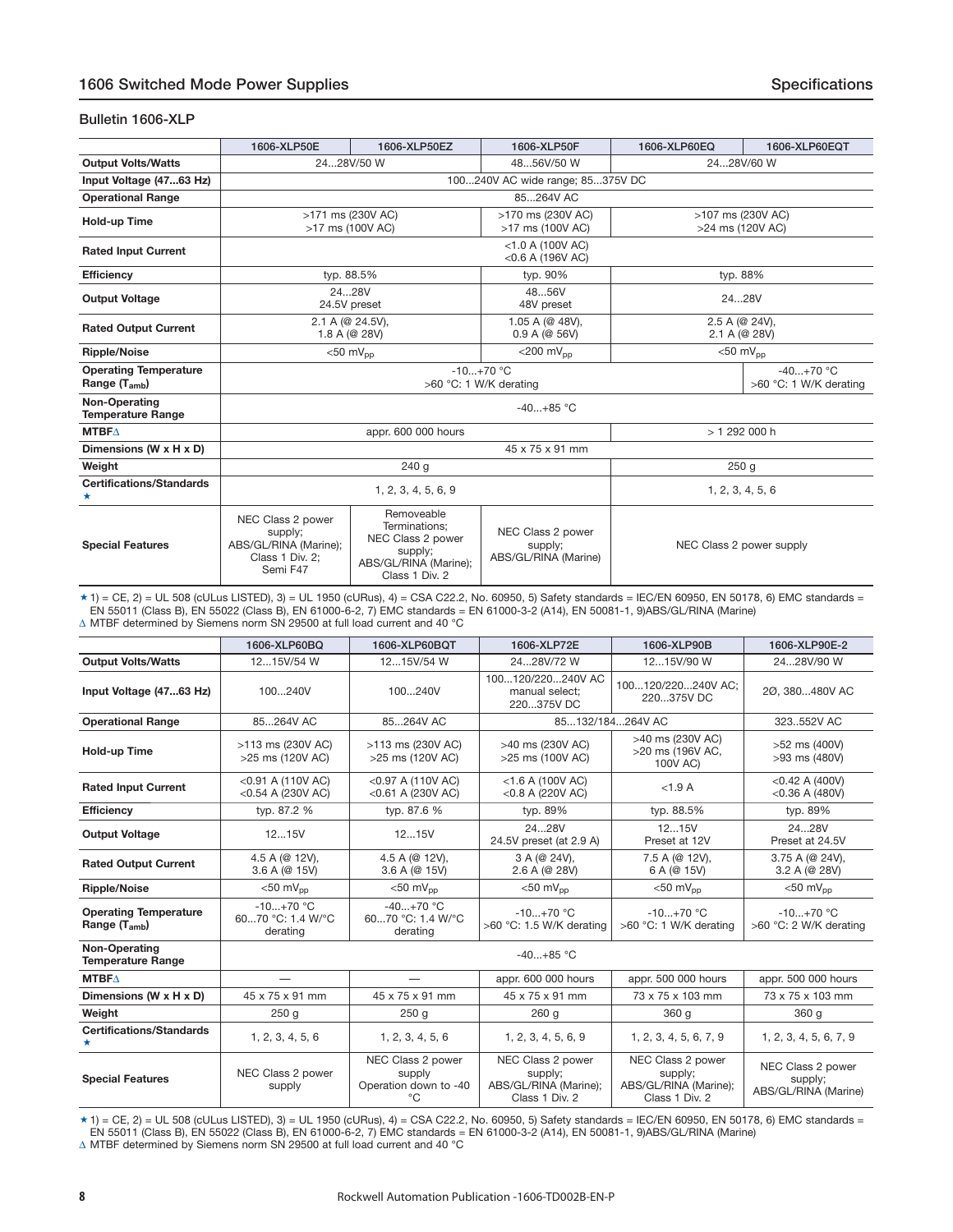#### **Bulletin 1606-XLP**

|                                                   | 1606-XLP50E                                                                          | 1606-XLP50EZ                                                                                           | 1606-XLP50F                                          | 1606-XLP60EQ                    | 1606-XLP60EQT                         |  |  |  |  |
|---------------------------------------------------|--------------------------------------------------------------------------------------|--------------------------------------------------------------------------------------------------------|------------------------------------------------------|---------------------------------|---------------------------------------|--|--|--|--|
| <b>Output Volts/Watts</b>                         |                                                                                      | 2428V/50 W                                                                                             | 4856V/50 W                                           |                                 | 2428V/60 W                            |  |  |  |  |
| Input Voltage (4763 Hz)                           | 100240V AC wide range; 85375V DC                                                     |                                                                                                        |                                                      |                                 |                                       |  |  |  |  |
| <b>Operational Range</b>                          |                                                                                      |                                                                                                        | 85264V AC                                            |                                 |                                       |  |  |  |  |
| Hold-up Time                                      |                                                                                      | >171 ms (230V AC)<br>>17 ms (100V AC)                                                                  | >107 ms (230V AC)<br>>24 ms (120V AC)                |                                 |                                       |  |  |  |  |
| <b>Rated Input Current</b>                        |                                                                                      |                                                                                                        | $<$ 1.0 A (100V AC)<br>$<$ 0.6 A (196V AC)           |                                 |                                       |  |  |  |  |
| <b>Efficiency</b>                                 | typ. 88.5%                                                                           |                                                                                                        | typ. 90%                                             |                                 | typ. 88%                              |  |  |  |  |
| <b>Output Voltage</b>                             |                                                                                      | 2428V<br>24.5V preset                                                                                  | 4856V<br>48V preset                                  | 2428V                           |                                       |  |  |  |  |
| <b>Rated Output Current</b>                       |                                                                                      | 2.1 A (@ 24.5V),<br>1.8 A (@ 28V)                                                                      | 1.05 A (@ 48V).<br>0.9 A (@ 56V)                     | 2.5 A (@ 24V),<br>2.1 A (@ 28V) |                                       |  |  |  |  |
| <b>Ripple/Noise</b>                               |                                                                                      | $<$ 50 m $V_{\text{pp}}$                                                                               | $<$ 200 m $V_{\text{nn}}$                            |                                 | $<$ 50 m $V_{\text{DD}}$              |  |  |  |  |
| <b>Operating Temperature</b><br>Range $(T_{amb})$ |                                                                                      |                                                                                                        | $-10+70$ °C<br>>60 °C: 1 W/K derating                |                                 | $-40+70$ °C<br>>60 °C: 1 W/K derating |  |  |  |  |
| <b>Non-Operating</b><br><b>Temperature Range</b>  |                                                                                      |                                                                                                        | $-40+85$ °C                                          |                                 |                                       |  |  |  |  |
| <b>MTBFA</b>                                      |                                                                                      | appr. 600 000 hours                                                                                    |                                                      |                                 | > 1 292 000 h                         |  |  |  |  |
| Dimensions (W x H x D)                            |                                                                                      |                                                                                                        | 45 x 75 x 91 mm                                      |                                 |                                       |  |  |  |  |
| Weight                                            |                                                                                      | 240 g                                                                                                  |                                                      |                                 | 250q                                  |  |  |  |  |
| <b>Certifications/Standards</b><br>*              |                                                                                      | 1, 2, 3, 4, 5, 6, 9                                                                                    |                                                      |                                 | 1, 2, 3, 4, 5, 6                      |  |  |  |  |
| <b>Special Features</b>                           | NEC Class 2 power<br>supply;<br>ABS/GL/RINA (Marine);<br>Class 1 Div. 2;<br>Semi F47 | Removeable<br>Terminations:<br>NEC Class 2 power<br>supply;<br>ABS/GL/RINA (Marine);<br>Class 1 Div. 2 | NEC Class 2 power<br>supply;<br>ABS/GL/RINA (Marine) |                                 | NEC Class 2 power supply              |  |  |  |  |

\* 1) = CE, 2) = UL 508 (cULus LISTED), 3) = UL 1950 (cURus), 4) = CSA C22.2, No. 60950, 5) Safety standards = IEC/EN 60950, EN 50178, 6) EMC standards =<br>EN 55011 (Class B), EN 55022 (Class B), EN 61000-6-2, 7) EMC standar Δ MTBF determined by Siemens norm SN 29500 at full load current and 40 °C

|                                                   | 1606-XLP60BQ                                 | 1606-XLP60BOT                                              | 1606-XLP72E                                                             | 1606-XLP90B                                                             | 1606-XLP90E-2                                        |  |
|---------------------------------------------------|----------------------------------------------|------------------------------------------------------------|-------------------------------------------------------------------------|-------------------------------------------------------------------------|------------------------------------------------------|--|
| <b>Output Volts/Watts</b>                         | 1215V/54 W                                   | 1215V/54 W                                                 | 2428V/72 W                                                              | 1215V/90 W                                                              | 2428V/90 W                                           |  |
| Input Voltage (4763 Hz)                           | 100240V                                      | 100240V                                                    | 100120/220240V AC<br>manual select:<br>220375V DC                       | 100120/220240V AC:<br>220375V DC                                        | 20, 380480V AC                                       |  |
| <b>Operational Range</b>                          | 85264V AC                                    | 85264V AC                                                  |                                                                         | 85132/184264V AC                                                        | 323.,552V AC                                         |  |
| <b>Hold-up Time</b>                               | >113 ms (230V AC)<br>>25 ms (120V AC)        | >113 ms (230V AC)<br>>25 ms (120V AC)                      | >40 ms (230V AC)<br>>25 ms (100V AC)                                    | >40 ms (230V AC)<br>>20 ms (196V AC,<br>100V AC)                        | >52 ms (400V)<br>>93 ms (480V)                       |  |
| <b>Rated Input Current</b>                        | $<$ 0.91 A (110V AC)<br>$<$ 0.54 A (230V AC) | <0.97 A (110V AC)<br><0.61 A (230V AC)                     | $<$ 1.6 A (100V AC)<br><0.8 A (220V AC)                                 | <1.9A                                                                   | $<$ 0.42 A (400V)<br>$<$ 0.36 A (480V)               |  |
| <b>Efficiency</b>                                 | typ. 87.2 %                                  | typ. 87.6 %                                                | typ. 89%                                                                | typ. 88.5%                                                              | typ. 89%                                             |  |
| <b>Output Voltage</b>                             | 1215V                                        | 1215V                                                      | 2428V<br>24.5V preset (at 2.9 A)                                        | 1215V<br>Preset at 12V                                                  | 2428V<br>Preset at 24.5V                             |  |
| <b>Rated Output Current</b>                       | 4.5 A (@ 12V),<br>3.6 A (@ 15V)              | 4.5 A (@ 12V),<br>3.6 A (@ 15V)                            | 3 A (@ 24V),<br>2.6 A (@ 28V)                                           | 7.5 A (@ 12V),<br>6 A (@ 15V)                                           | 3.75 A (@ 24V),<br>3.2 A (@ 28V)                     |  |
| <b>Ripple/Noise</b>                               | $< 50$ mV <sub>pp</sub>                      | $< 50$ mV <sub>nn</sub>                                    | $<$ 50 mV <sub>pp</sub>                                                 | $<$ 50 mV <sub>pp</sub>                                                 | $<$ 50 mV <sub>pp</sub>                              |  |
| <b>Operating Temperature</b><br>Range $(T_{amb})$ | $-10+70$ °C<br>6070 °C: 1.4 W/°C<br>derating | $-40+70$ °C<br>6070 °C: 1.4 W/°C<br>derating               | $-10+70$ °C<br>>60 °C: 1.5 W/K derating                                 | $-10+70$ °C<br>>60 °C: 1 W/K derating                                   | $-10+70$ °C<br>>60 °C: 2 W/K derating                |  |
| Non-Operating<br><b>Temperature Range</b>         |                                              | $-40+85$ °C                                                |                                                                         |                                                                         |                                                      |  |
| <b>MTBFA</b>                                      |                                              |                                                            | appr. 600 000 hours                                                     | appr. 500 000 hours                                                     | appr. 500 000 hours                                  |  |
| Dimensions (W x H x D)                            | 45 x 75 x 91 mm                              | 45 x 75 x 91 mm                                            | 45 x 75 x 91 mm                                                         | 73 x 75 x 103 mm                                                        | 73 x 75 x 103 mm                                     |  |
| Weight                                            | 250 <sub>g</sub>                             | 250 <sub>g</sub>                                           | 260 <sub>g</sub>                                                        | 360 g                                                                   | 360 <sub>g</sub>                                     |  |
| <b>Certifications/Standards</b><br>*              | 1, 2, 3, 4, 5, 6                             | 1, 2, 3, 4, 5, 6                                           | 1, 2, 3, 4, 5, 6, 9                                                     | 1, 2, 3, 4, 5, 6, 7, 9                                                  | 1, 2, 3, 4, 5, 6, 7, 9                               |  |
| <b>Special Features</b>                           | NEC Class 2 power<br>supply                  | NEC Class 2 power<br>supply<br>Operation down to -40<br>°C | NEC Class 2 power<br>supply;<br>ABS/GL/RINA (Marine);<br>Class 1 Div. 2 | NEC Class 2 power<br>supply;<br>ABS/GL/RINA (Marine);<br>Class 1 Div. 2 | NEC Class 2 power<br>supply;<br>ABS/GL/RINA (Marine) |  |

 $\star$  1) = CE, 2) = UL 508 (cULus LISTED), 3) = UL 1950 (cURus), 4) = CSA C22.2, No. 60950, 5) Safety standards = IEC/EN 60950, EN 50178, 6) EMC standards = EN 55011 (Class B), EN 55022 (Class B), EN 61000-6-2, 7) EMC standards = EN 61000-3-2 (A14), EN 50081-1, 9)ABS/GL/RINA (Marine)  $\Delta$  MTBF determined by Siemens norm SN 29500 at full load current and 40 °C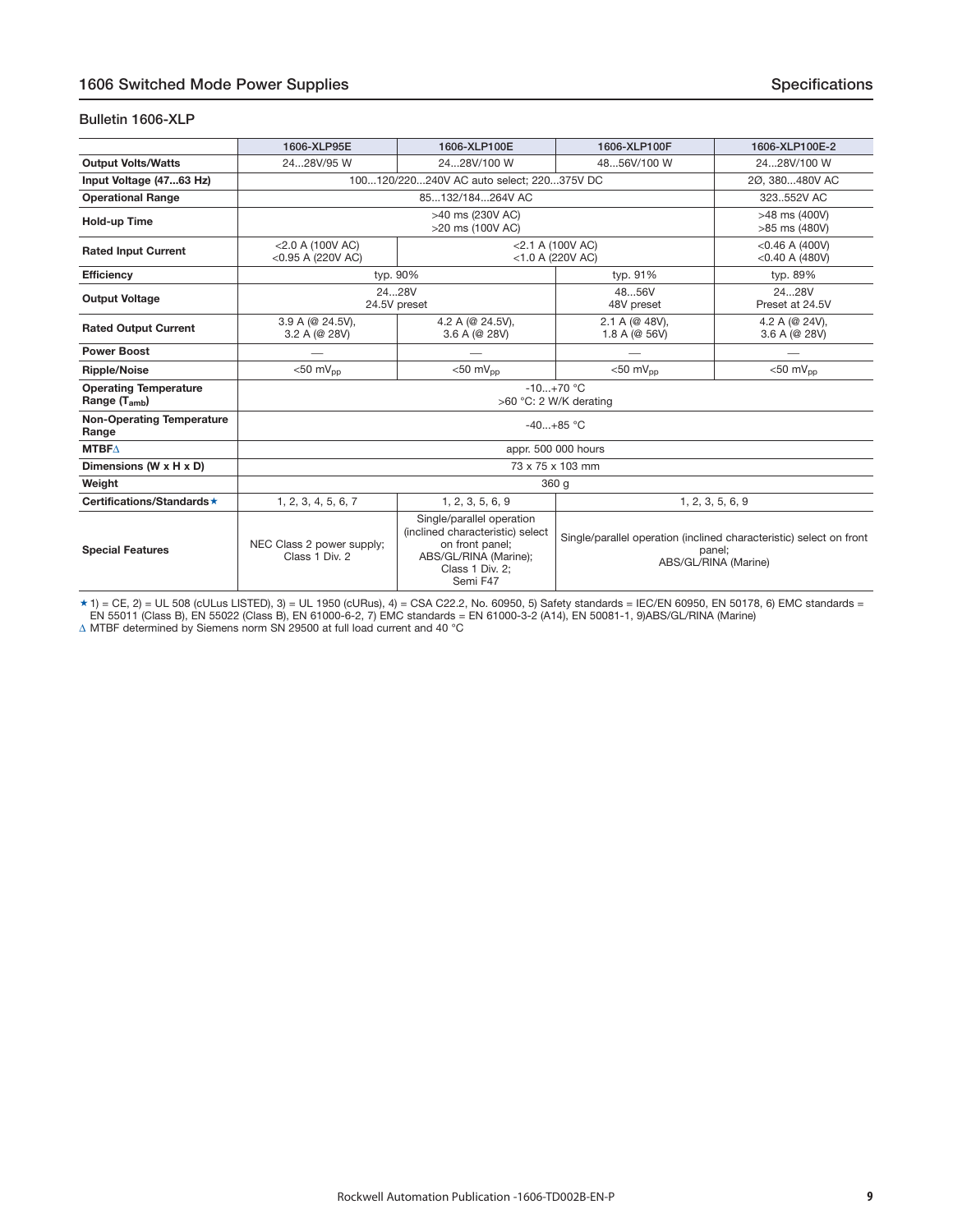#### <span id="page-8-0"></span>**Bulletin 1606-XLP**

|                                                   | 1606-XLP95E                                                 | 1606-XLP100E                                                                                                                             | 1606-XLP100F                                                                                          | 1606-XLP100E-2                         |  |  |
|---------------------------------------------------|-------------------------------------------------------------|------------------------------------------------------------------------------------------------------------------------------------------|-------------------------------------------------------------------------------------------------------|----------------------------------------|--|--|
| <b>Output Volts/Watts</b>                         | 2428V/100 W<br>2428V/95 W                                   |                                                                                                                                          | 4856V/100 W                                                                                           | 2428V/100 W                            |  |  |
| Input Voltage (4763 Hz)                           |                                                             | 100120/220240V AC auto select; 220375V DC                                                                                                |                                                                                                       | 20.380480V AC                          |  |  |
| <b>Operational Range</b>                          |                                                             | 85132/184264V AC                                                                                                                         |                                                                                                       | 323.552V AC                            |  |  |
| Hold-up Time                                      |                                                             | >40 ms (230V AC)<br>>20 ms (100V AC)                                                                                                     |                                                                                                       | >48 ms (400V)<br>>85 ms (480V)         |  |  |
| <b>Rated Input Current</b>                        | $<$ 2.0 A (100V AC)<br>$<$ 0.95 A (220V AC)                 |                                                                                                                                          | $<$ 2.1 A (100V AC)<br><1.0 A (220V AC)                                                               | $<$ 0.46 A (400V)<br>$<$ 0.40 A (480V) |  |  |
| <b>Efficiency</b>                                 |                                                             | typ. 90%                                                                                                                                 | typ. 91%                                                                                              | typ. 89%                               |  |  |
| <b>Output Voltage</b>                             |                                                             | 2428V<br>24.5V preset                                                                                                                    | 4856V<br>48V preset                                                                                   | 2428V<br>Preset at 24.5V               |  |  |
| <b>Rated Output Current</b>                       | $3.9 A (@ 24.5V)$ ,<br>3.2 A (@ 28V)                        | 4.2 A (@ 24.5V),<br>3.6 A (@ 28V)                                                                                                        | 2.1 A (@ 48V),<br>1.8 A (@ 56V)                                                                       | 4.2 A (@ 24V),<br>3.6 A (@ 28V)        |  |  |
| <b>Power Boost</b>                                |                                                             |                                                                                                                                          |                                                                                                       |                                        |  |  |
| <b>Ripple/Noise</b>                               | $<$ 50 mV <sub>pp</sub>                                     | $<$ 50 mV <sub>pp</sub>                                                                                                                  | $<$ 50 m $V_{\text{nn}}$                                                                              | $<$ 50 mV <sub>pp</sub>                |  |  |
| <b>Operating Temperature</b><br>Range $(T_{amb})$ | $-10+70$ °C<br>>60 °C: 2 W/K derating                       |                                                                                                                                          |                                                                                                       |                                        |  |  |
| <b>Non-Operating Temperature</b><br>Range         | $-40+85$ °C                                                 |                                                                                                                                          |                                                                                                       |                                        |  |  |
| <b>MTBF<math>\triangle</math></b>                 |                                                             |                                                                                                                                          | appr. 500 000 hours                                                                                   |                                        |  |  |
| Dimensions (W x H x D)                            | 73 x 75 x 103 mm                                            |                                                                                                                                          |                                                                                                       |                                        |  |  |
| Weight                                            | 360 g                                                       |                                                                                                                                          |                                                                                                       |                                        |  |  |
| Certifications/Standards ★                        | 1, 2, 3, 4, 5, 6, 7<br>1, 2, 3, 5, 6, 9<br>1, 2, 3, 5, 6, 9 |                                                                                                                                          |                                                                                                       |                                        |  |  |
| <b>Special Features</b>                           | NEC Class 2 power supply;<br>Class 1 Div. 2                 | Single/parallel operation<br>(inclined characteristic) select<br>on front panel;<br>ABS/GL/RINA (Marine);<br>Class 1 Div. 2:<br>Semi F47 | Single/parallel operation (inclined characteristic) select on front<br>panel;<br>ABS/GL/RINA (Marine) |                                        |  |  |

★ 1) = CE, 2) = UL 508 (cULus LISTED), 3) = UL 1950 (cURus), 4) = CSA C22.2, No. 60950, 5) Safety standards = IEC/EN 60950, EN 50178, 6) EMC standards =<br>EN 55011 (Class B), EN 55022 (Class B), EN 61000-6-2, 7) EMC standar

 $\Delta$  MTBF determined by Siemens norm SN 29500 at full load current and 40 °C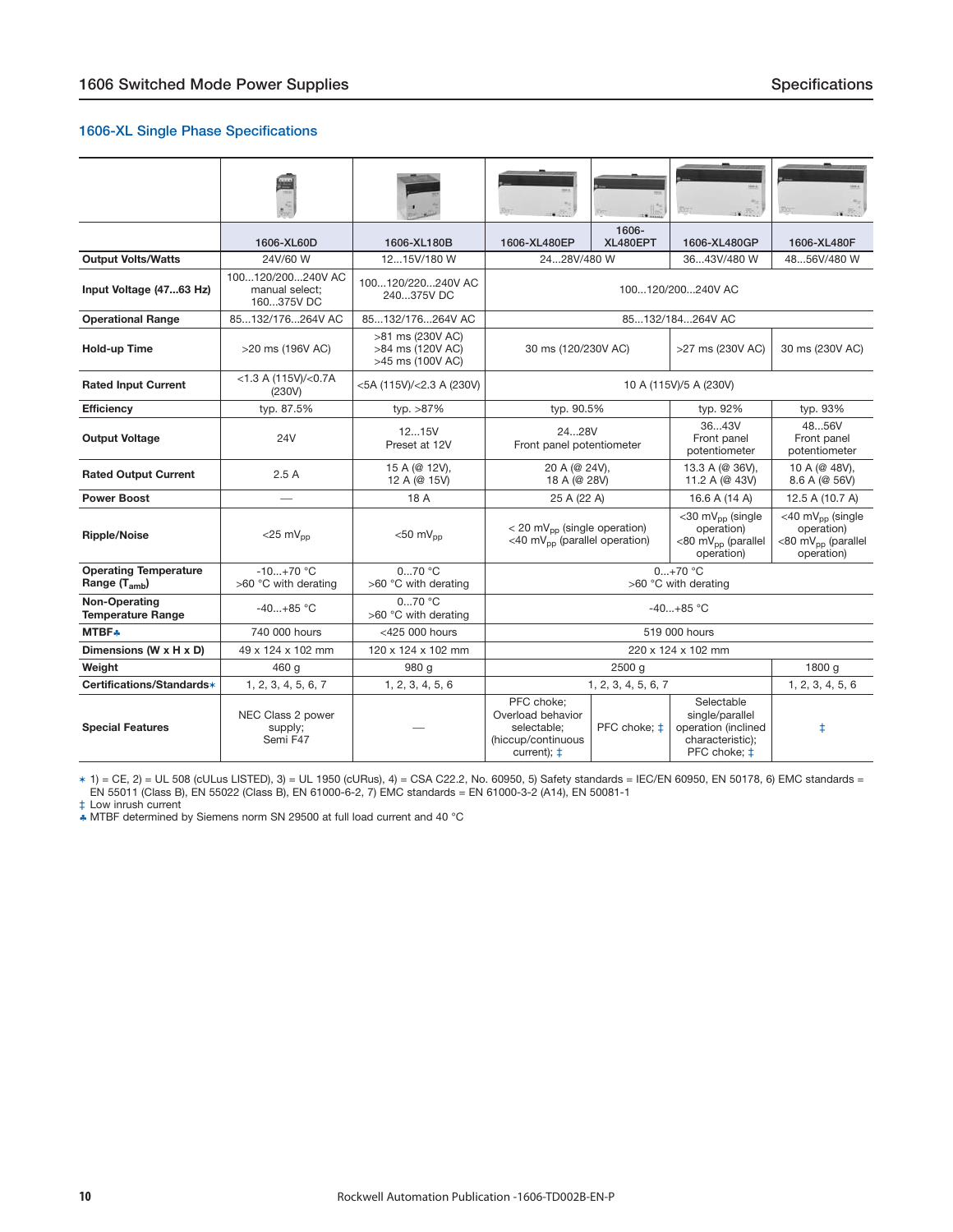#### **1606-XL Single Phase Specifications**

|                                                           | 1606-XL60D                                        | 1606-XL180B                                              | 1606-XL480EP                                                                                            | 1606-<br>XL480EPT   | 1606-XL480GP                                                                               | 1606-XL480F                                                                                |  |
|-----------------------------------------------------------|---------------------------------------------------|----------------------------------------------------------|---------------------------------------------------------------------------------------------------------|---------------------|--------------------------------------------------------------------------------------------|--------------------------------------------------------------------------------------------|--|
| <b>Output Volts/Watts</b>                                 | 24V/60 W                                          | 1215V/180 W                                              | 2428V/480 W                                                                                             |                     | 3643V/480 W                                                                                | 4856V/480 W                                                                                |  |
| Input Voltage (4763 Hz)                                   | 100120/200240V AC<br>manual select:<br>160375V DC | 100120/220240V AC<br>240375V DC                          |                                                                                                         |                     | 100120/200240V AC                                                                          |                                                                                            |  |
| <b>Operational Range</b>                                  | 85132/176264V AC                                  | 85132/176264V AC                                         |                                                                                                         |                     | 85132/184264V AC                                                                           |                                                                                            |  |
| Hold-up Time                                              | >20 ms (196V AC)                                  | >81 ms (230V AC)<br>>84 ms (120V AC)<br>>45 ms (100V AC) | 30 ms (120/230V AC)                                                                                     |                     | >27 ms (230V AC)                                                                           | 30 ms (230V AC)                                                                            |  |
| <b>Rated Input Current</b>                                | $<$ 1.3 A (115V)/ $<$ 0.7A<br>(230V)              | <5A (115V)/<2.3 A (230V)                                 |                                                                                                         |                     | 10 A (115V)/5 A (230V)                                                                     |                                                                                            |  |
| <b>Efficiency</b>                                         | typ. 87.5%                                        | typ. >87%                                                | typ. 90.5%                                                                                              |                     | typ. 92%                                                                                   | typ. 93%                                                                                   |  |
| <b>Output Voltage</b>                                     | 24V                                               | 1215V<br>Preset at 12V                                   | 2428V<br>Front panel potentiometer                                                                      |                     | 3643V<br>Front panel<br>potentiometer                                                      | 4856V<br>Front panel<br>potentiometer                                                      |  |
| <b>Rated Output Current</b>                               | 2.5A                                              | 15 A (@ 12V),<br>12 A (@ 15V)                            | 20 A (@ 24V),<br>18 A (@ 28V)                                                                           |                     | 13.3 A (@ 36V),<br>11.2 A (@ 43V)                                                          | 10 A (@ 48V),<br>8.6 A (@ 56V)                                                             |  |
| <b>Power Boost</b>                                        | $\overline{\phantom{0}}$                          | 18 A                                                     | 25 A (22 A)                                                                                             |                     | 16.6 A (14 A)                                                                              | 12.5 A (10.7 A)                                                                            |  |
| <b>Ripple/Noise</b>                                       | $<$ 25 mV <sub>pp</sub>                           | $<$ 50 m $V_{\text{nn}}$                                 | $<$ 20 mV <sub>pp</sub> (single operation)<br><40 mV <sub>pp</sub> (parallel operation)                 |                     | <30 mV <sub>pp</sub> (single<br>operation)<br><80 mV <sub>pp</sub> (parallel<br>operation) | <40 mV <sub>pp</sub> (single<br>operation)<br><80 mV <sub>pp</sub> (parallel<br>operation) |  |
| <b>Operating Temperature</b><br>Range (T <sub>amb</sub> ) | $-10+70$ °C<br>>60 °C with derating               | $070$ °C<br>>60 °C with derating                         |                                                                                                         |                     | $0+70$ °C<br>>60 °C with derating                                                          |                                                                                            |  |
| Non-Operating<br><b>Temperature Range</b>                 | $-40+85$ °C                                       | 070 °C<br>>60 °C with derating                           |                                                                                                         |                     | $-40+85$ °C                                                                                |                                                                                            |  |
| <b>MTBF*</b>                                              | 740 000 hours                                     | <425 000 hours                                           |                                                                                                         |                     | 519 000 hours                                                                              |                                                                                            |  |
| Dimensions (W x H x D)                                    | 49 x 124 x 102 mm                                 | 120 x 124 x 102 mm                                       |                                                                                                         |                     | 220 x 124 x 102 mm                                                                         |                                                                                            |  |
| Weight                                                    | 460 g                                             | 980 g                                                    |                                                                                                         | $2500$ g            |                                                                                            | 1800 g                                                                                     |  |
| Certifications/Standards*                                 | 1, 2, 3, 4, 5, 6, 7                               | 1, 2, 3, 4, 5, 6                                         |                                                                                                         | 1, 2, 3, 4, 5, 6, 7 |                                                                                            | 1, 2, 3, 4, 5, 6                                                                           |  |
| <b>Special Features</b>                                   | NEC Class 2 power<br>supply;<br>Semi F47          |                                                          | PFC choke;<br>Overload behavior<br>PFC choke; ±<br>selectable;<br>(hiccup/continuous<br>current); $\pm$ |                     | Selectable<br>single/parallel<br>operation (inclined<br>characteristic);<br>PFC choke; ‡   | ŧ                                                                                          |  |

✶ 1) = CE, 2) = UL 508 (cULus LISTED), 3) = UL 1950 (cURus), 4) = CSA C22.2, No. 60950, 5) Safety standards = IEC/EN 60950, EN 50178, 6) EMC standards = EN 55011 (Class B), EN 55022 (Class B), EN 61000-6-2, 7) EMC standards = EN 61000-3-2 (A14), EN 50081-1

‡ Low inrush current

♣ MTBF determined by Siemens norm SN 29500 at full load current and 40 °C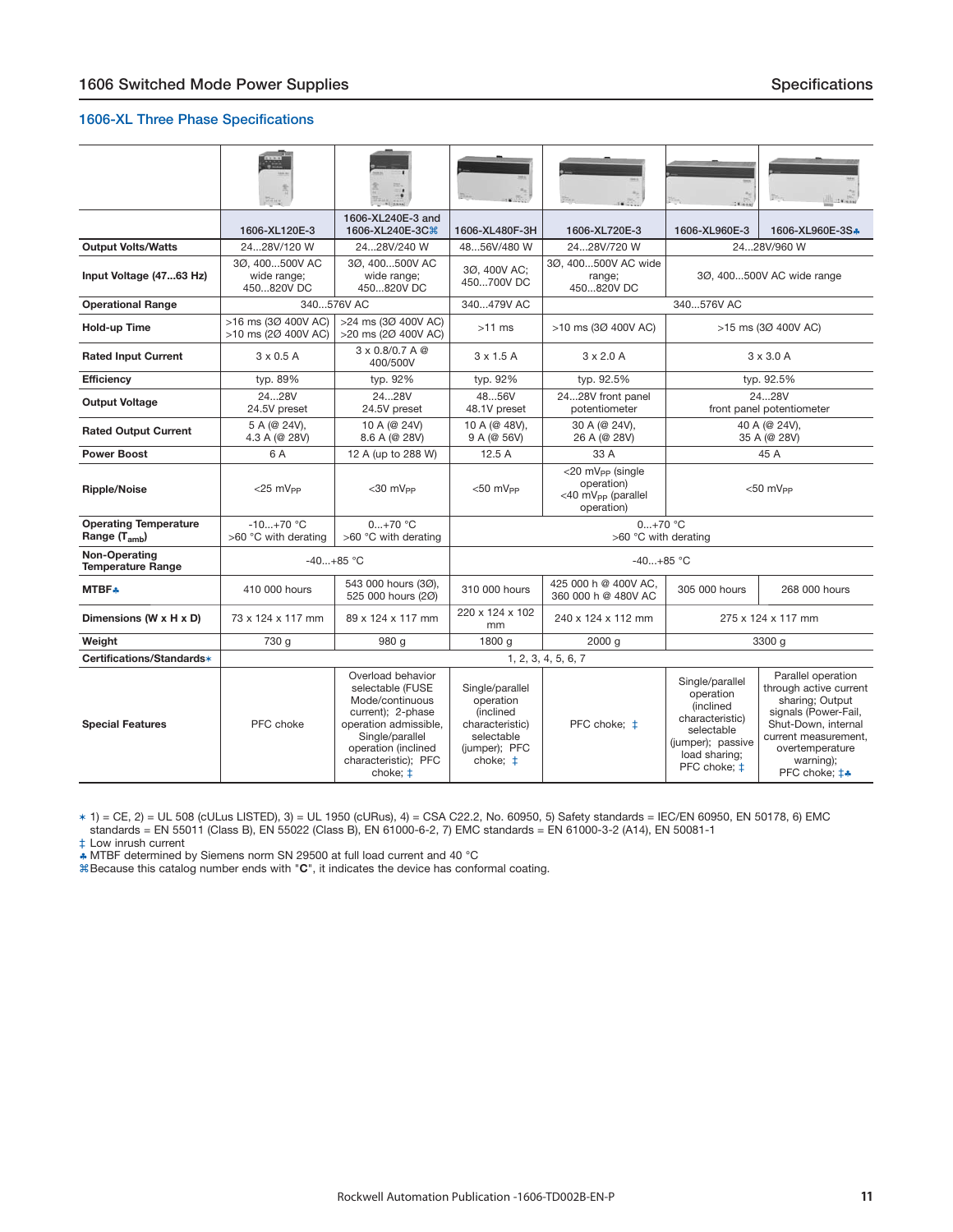#### **1606-XL Three Phase Specifications**

|                                                   |                                             |                                                                                                                                                                                          |                                                                                                         |                                                                                            |                                                                                                                                      | <b>Ullian Wann</b>                                                                                                                                                                           |
|---------------------------------------------------|---------------------------------------------|------------------------------------------------------------------------------------------------------------------------------------------------------------------------------------------|---------------------------------------------------------------------------------------------------------|--------------------------------------------------------------------------------------------|--------------------------------------------------------------------------------------------------------------------------------------|----------------------------------------------------------------------------------------------------------------------------------------------------------------------------------------------|
|                                                   | 1606-XL120E-3                               | 1606-XL240E-3 and<br>1606-XL240E-3C米                                                                                                                                                     | 1606-XL480F-3H                                                                                          | 1606-XL720E-3                                                                              | 1606-XL960E-3                                                                                                                        | 1606-XL960E-3S+                                                                                                                                                                              |
| <b>Output Volts/Watts</b>                         | 2428V/120 W                                 | 2428V/240 W                                                                                                                                                                              | 4856V/480 W                                                                                             | 2428V/720 W                                                                                |                                                                                                                                      | 2428V/960 W                                                                                                                                                                                  |
| Input Voltage (4763 Hz)                           | 30, 400500V AC<br>wide range;<br>450820V DC | 30, 400500V AC<br>wide range;<br>450820V DC                                                                                                                                              | 30, 400V AC;<br>450700V DC                                                                              | 30, 400500V AC wide<br>range;<br>450820V DC                                                | 30, 400500V AC wide range                                                                                                            |                                                                                                                                                                                              |
| <b>Operational Range</b>                          |                                             | 340576V AC                                                                                                                                                                               | 340479V AC                                                                                              |                                                                                            | 340576V AC                                                                                                                           |                                                                                                                                                                                              |
| Hold-up Time                                      | >16 ms (3Ø 400V AC)<br>>10 ms (2Ø 400V AC)  | >24 ms (30 400V AC)<br>>20 ms (2Ø 400V AC)                                                                                                                                               | $>11$ ms                                                                                                | >10 ms (3Ø 400V AC)                                                                        |                                                                                                                                      | >15 ms (3Ø 400V AC)                                                                                                                                                                          |
| <b>Rated Input Current</b>                        | $3 \times 0.5$ A                            | $3 \times 0.8 / 0.7 A @$<br>400/500V                                                                                                                                                     | $3 \times 1.5$ A                                                                                        | $3 \times 2.0$ A                                                                           |                                                                                                                                      | $3 \times 3.0$ A                                                                                                                                                                             |
| <b>Efficiency</b>                                 | typ. 89%                                    | typ. 92%                                                                                                                                                                                 | typ. 92%                                                                                                | typ. 92.5%                                                                                 |                                                                                                                                      | typ. 92.5%                                                                                                                                                                                   |
| <b>Output Voltage</b>                             | 2428V<br>24.5V preset                       | 2428V<br>24.5V preset                                                                                                                                                                    | 4856V<br>48.1V preset                                                                                   | 2428V front panel<br>potentiometer                                                         | 2428V<br>front panel potentiometer                                                                                                   |                                                                                                                                                                                              |
| <b>Rated Output Current</b>                       | 5 A (@ 24V),<br>4.3 A (@ 28V)               | 10 A (@ 24V)<br>8.6 A (@ 28V)                                                                                                                                                            | 10 A (@ 48V),<br>9 A (@ 56V)                                                                            | 30 A (@ 24V),<br>26 A (@ 28V)                                                              | 40 A (@ 24V),<br>35 A (@ 28V)                                                                                                        |                                                                                                                                                                                              |
| <b>Power Boost</b>                                | 6 A                                         | 12 A (up to 288 W)                                                                                                                                                                       | 12.5A                                                                                                   | 33 A                                                                                       |                                                                                                                                      | 45 A                                                                                                                                                                                         |
| <b>Ripple/Noise</b>                               | $<$ 25 mV <sub>PP</sub>                     | $<$ 30 mV <sub>PP</sub>                                                                                                                                                                  | $<$ 50 mV <sub>PP</sub>                                                                                 | <20 mV <sub>pp</sub> (single<br>operation)<br><40 mV <sub>PP</sub> (parallel<br>operation) | $<$ 50 mV <sub>PP</sub>                                                                                                              |                                                                                                                                                                                              |
| <b>Operating Temperature</b><br>Range $(T_{amb})$ | $-10+70$ °C<br>>60 °C with derating         | $0+70$ °C<br>>60 °C with derating                                                                                                                                                        | $0+70$ °C<br>>60 °C with derating                                                                       |                                                                                            |                                                                                                                                      |                                                                                                                                                                                              |
| Non-Operating<br><b>Temperature Range</b>         |                                             | $-40+85$ °C                                                                                                                                                                              | $-40+85$ °C                                                                                             |                                                                                            |                                                                                                                                      |                                                                                                                                                                                              |
| MTBF*                                             | 410 000 hours                               | 543 000 hours (30),<br>525 000 hours (20)                                                                                                                                                | 310 000 hours                                                                                           | 425 000 h @ 400V AC.<br>360 000 h @ 480V AC                                                | 305 000 hours                                                                                                                        | 268 000 hours                                                                                                                                                                                |
| Dimensions (W x H x D)                            | 73 x 124 x 117 mm                           | 89 x 124 x 117 mm                                                                                                                                                                        | 220 x 124 x 102<br>275 x 124 x 117 mm<br>240 x 124 x 112 mm<br>mm                                       |                                                                                            |                                                                                                                                      |                                                                                                                                                                                              |
| Weight                                            | 730 g                                       | 980 g                                                                                                                                                                                    | 1800 g                                                                                                  | 2000 g                                                                                     |                                                                                                                                      | 3300 g                                                                                                                                                                                       |
| Certifications/Standards*                         |                                             |                                                                                                                                                                                          |                                                                                                         | 1, 2, 3, 4, 5, 6, 7                                                                        |                                                                                                                                      |                                                                                                                                                                                              |
| <b>Special Features</b>                           | PFC choke                                   | Overload behavior<br>selectable (FUSE<br>Mode/continuous<br>current); 2-phase<br>operation admissible,<br>Single/parallel<br>operation (inclined<br>characteristic); PFC<br>choke; $\pm$ | Single/parallel<br>operation<br>(inclined<br>characteristic)<br>selectable<br>(jumper); PFC<br>choke; ‡ | PFC choke; $\pm$                                                                           | Single/parallel<br>operation<br>(inclined<br>characteristic)<br>selectable<br>(jumper); passive<br>load sharing;<br>PFC choke: $\pm$ | Parallel operation<br>through active current<br>sharing; Output<br>signals (Power-Fail,<br>Shut-Down, internal<br>current measurement.<br>overtemperature<br>warning);<br>PFC choke; $\pm$ * |

✶ 1) = CE, 2) = UL 508 (cULus LISTED), 3) = UL 1950 (cURus), 4) = CSA C22.2, No. 60950, 5) Safety standards = IEC/EN 60950, EN 50178, 6) EMC standards = EN 55011 (Class B), EN 55022 (Class B), EN 61000-6-2, 7) EMC standards = EN 61000-3-2 (A14), EN 50081-1

‡ Low inrush current

♣ MTBF determined by Siemens norm SN 29500 at full load current and 40 °C Because this catalog number ends with "**C**", it indicates the device has conformal coating.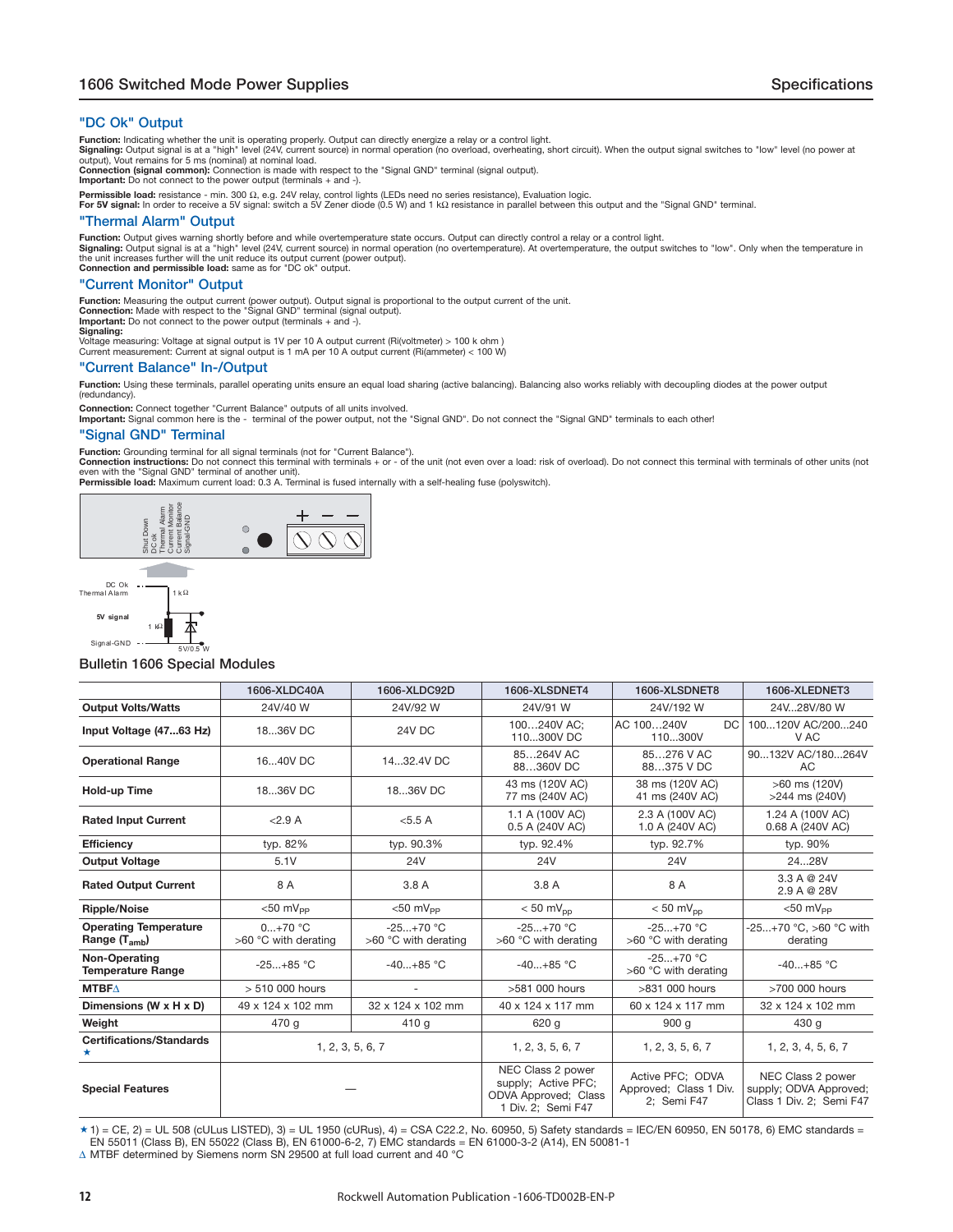#### <span id="page-11-0"></span>**"DC Ok" Output**

**Function:** Indicating whether the unit is operating properly. Output can directly energize a relay or a control light.<br>**Signaling:** Output signal is at a "high" level (24V, current source) in normal operation (no overload

**Connection (signal common):** Connection is made with respect to the "Signal GND" terminal (signal output). **Important:** Do not connect to the power output (terminals + and -).

**Permissible load:** resistance - min. 300 Ω, e.g. 24V relay, control lights (LEDs need no series resistance), Evaluation logic.<br>**For 5V signal:** In order to receive a 5V signal: switch a 5V Zener diode (0.5 W) and 1 kΩ re

#### **"Thermal Alarm" Output**

Function: Output gives warning shortly before and while overtemperature state occurs. Output can directly control a relay or a control light.<br>Signaling: Output signal is at a "high" level (24V, current source) in normal op the unit increases further will the unit reduce its output current (power output). **Connection and permissible load:** same as for "DC ok" output.

**"Current Monitor" Output**

**Function:** Measuring the output current (power output). Output signal is proportional to the output current of the unit.<br>**Connection: M**ade with respect to the "Signal GND" terminal (signal output).<br>**Important:** Do not co

**Signaling:**

Voltage measuring: Voltage at signal output is 1V per 10 A output current (Ri(voltmeter) > 100 k ohm ) Current measurement: Current at signal output is 1 mA per 10 A output current (Ri(ammeter) < 100 W)

#### **"Current Balance" In-/Output**

Function: Using these terminals, parallel operating units ensure an equal load sharing (active balancing). Balancing also works reliably with decoupling diodes at the power output (redundancy).

Connection: Connect together "Current Balance" outputs of all units involved.<br>Important: Signal common here is the - terminal of the power output, not the "Signal GND". Do not connect the "Signal GND" terminals to each oth

#### **"Signal GND" Terminal**

**Function:** Grounding terminal for all signal terminals (not for "Current Balance").

**Connection instructions:** Do not connect this terminal with terminals + or - of the unit (not even over a load: risk of overload). Do not connect this terminal with terminals of other units (not<br>even with the "Signal GND"





1 kΩ

#### **Bulletin 1606 Special Modules**

|                                                   | 1606-XLDC40A                      | 1606-XLDC92D                        | 1606-XLSDNET4                                                                          | 1606-XLSDNET8                                             | 1606-XLEDNET3                                                           |
|---------------------------------------------------|-----------------------------------|-------------------------------------|----------------------------------------------------------------------------------------|-----------------------------------------------------------|-------------------------------------------------------------------------|
| <b>Output Volts/Watts</b>                         | 24V/40 W                          | 24V/92 W                            | 24V/91 W                                                                               | 24V/192 W                                                 | 24V28V/80 W                                                             |
| Input Voltage (4763 Hz)                           | 1836V DC                          | 24V DC                              | 100240V AC:<br>110300V DC                                                              | AC 100240V<br>DC<br>110300V                               | 100120V AC/200240<br>V AC                                               |
| <b>Operational Range</b>                          | 1640V DC                          | 1432.4V DC                          | 85264V AC<br>88360V DC                                                                 | 85276 V AC<br>88375 V DC                                  | 90132V AC/180264V<br>AC                                                 |
| <b>Hold-up Time</b>                               | 1836V DC                          | 1836V DC                            | 43 ms (120V AC)<br>77 ms (240V AC)                                                     | 38 ms (120V AC)<br>41 ms (240V AC)                        | >60 ms (120V)<br>>244 ms (240V)                                         |
| <b>Rated Input Current</b>                        | < 2.9 A                           | <5.5A                               | 1.1 A (100V AC)<br>0.5 A (240V AC)                                                     | 2.3 A (100V AC)<br>1.0 A (240V AC)                        | 1.24 A (100V AC)<br>0.68 A (240V AC)                                    |
| <b>Efficiency</b>                                 | typ. 82%                          | typ. 90.3%                          | typ. 92.4%                                                                             | typ. 92.7%                                                | typ. 90%                                                                |
| <b>Output Voltage</b>                             | 5.1V                              | 24V                                 | <b>24V</b>                                                                             | <b>24V</b>                                                | 2428V                                                                   |
| <b>Rated Output Current</b>                       | 8 A                               | 3.8 A                               | 3.8A                                                                                   | 8 A                                                       | 3.3 A @ 24V<br>2.9 A @ 28V                                              |
| <b>Ripple/Noise</b>                               | $<$ 50 mV <sub>PP</sub>           | $< 50$ mV <sub>PP</sub>             | $< 50$ mV <sub>pp</sub>                                                                | $< 50$ mV <sub>pp</sub>                                   | $<$ 50 mV <sub>PP</sub>                                                 |
| <b>Operating Temperature</b><br>Range $(T_{amb})$ | $0+70$ °C<br>>60 °C with derating | $-25+70$ °C<br>>60 °C with derating | $-25+70$ °C<br>>60 °C with derating                                                    | $-25+70$ °C<br>>60 °C with derating                       | $-25+70$ °C. >60 °C with<br>derating                                    |
| Non-Operating<br><b>Temperature Range</b>         | $-25+85$ °C                       | $-40+85$ °C                         | $-40+85$ °C                                                                            | $-25+70$ °C<br>>60 °C with derating                       | $-40+85$ °C                                                             |
| <b>MTBF</b> $\triangle$                           | > 510 000 hours                   |                                     | >581 000 hours                                                                         | >831 000 hours                                            | >700 000 hours                                                          |
| Dimensions (W x H x D)                            | 49 x 124 x 102 mm                 | 32 x 124 x 102 mm                   | 40 x 124 x 117 mm                                                                      | 60 x 124 x 117 mm                                         | 32 x 124 x 102 mm                                                       |
| Weight                                            | 470 g                             | 410 g                               | 620 g                                                                                  | 900q                                                      | 430 g                                                                   |
| <b>Certifications/Standards</b><br>*              | 1, 2, 3, 5, 6, 7                  |                                     | 1, 2, 3, 5, 6, 7                                                                       | 1, 2, 3, 5, 6, 7                                          | 1, 2, 3, 4, 5, 6, 7                                                     |
| <b>Special Features</b>                           |                                   |                                     | NEC Class 2 power<br>supply; Active PFC;<br>ODVA Approved; Class<br>1 Div. 2; Semi F47 | Active PFC: ODVA<br>Approved; Class 1 Div.<br>2: Semi F47 | NEC Class 2 power<br>supply; ODVA Approved;<br>Class 1 Div. 2; Semi F47 |

 $\star$  1) = CE, 2) = UL 508 (cULus LISTED), 3) = UL 1950 (cURus), 4) = CSA C22.2, No. 60950, 5) Safety standards = IEC/EN 60950, EN 50178, 6) EMC standards = EN 55011 (Class B), EN 55022 (Class B), EN 61000-6-2, 7) EMC standards = EN 61000-3-2 (A14), EN 50081-1

Δ MTBF determined by Siemens norm SN 29500 at full load current and 40 °C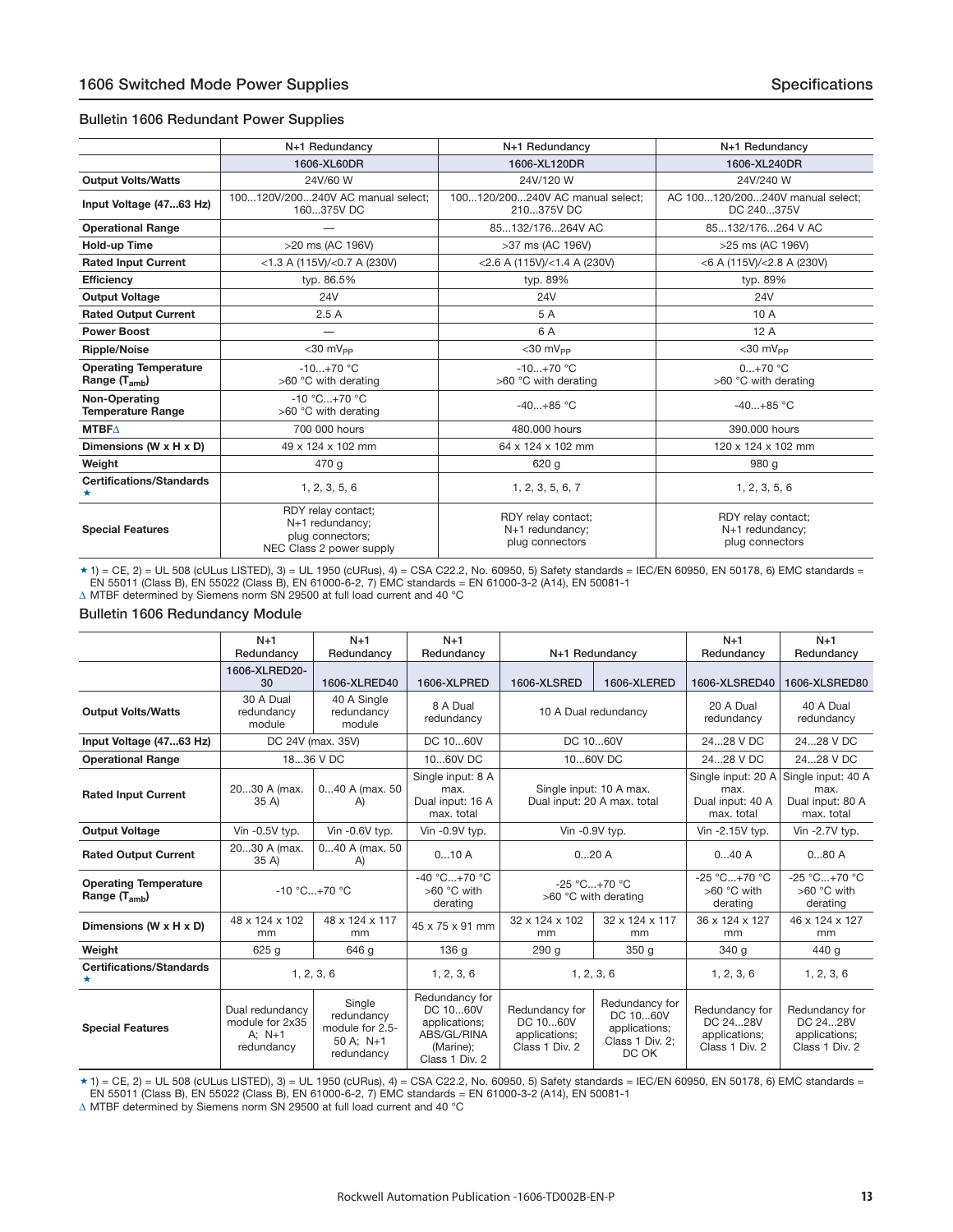#### **Bulletin 1606 Redundant Power Supplies**

|                                                   | N+1 Redundancy                                                                        | N+1 Redundancy                                           | N+1 Redundancy                                           |
|---------------------------------------------------|---------------------------------------------------------------------------------------|----------------------------------------------------------|----------------------------------------------------------|
|                                                   | 1606-XL60DR                                                                           | 1606-XL120DR                                             | 1606-XL240DR                                             |
| <b>Output Volts/Watts</b>                         | 24V/60 W                                                                              | 24V/120 W                                                | 24V/240 W                                                |
| Input Voltage (4763 Hz)                           | 100120V/200240V AC manual select;<br>160375V DC                                       | 100120/200240V AC manual select;<br>210375V DC           | AC 100120/200240V manual select;<br>DC 240375V           |
| <b>Operational Range</b>                          |                                                                                       | 85132/176264V AC                                         | 85132/176264 V AC                                        |
| <b>Hold-up Time</b>                               | >20 ms (AC 196V)                                                                      | >37 ms (AC 196V)                                         | >25 ms (AC 196V)                                         |
| <b>Rated Input Current</b>                        | $<$ 1.3 A (115V)/ $<$ 0.7 A (230V)                                                    | $<$ 2.6 A (115V)/ $<$ 1.4 A (230V)                       | <6 A (115V)/<2.8 A (230V)                                |
| <b>Efficiency</b>                                 | typ. 86.5%                                                                            | typ. 89%                                                 | typ. 89%                                                 |
| <b>Output Voltage</b>                             | <b>24V</b>                                                                            | 24V                                                      | <b>24V</b>                                               |
| <b>Rated Output Current</b>                       | 2.5A                                                                                  | 5 A                                                      | 10 A                                                     |
| <b>Power Boost</b>                                |                                                                                       | 6 A                                                      | 12A                                                      |
| <b>Ripple/Noise</b>                               | $<$ 30 m $V_{PP}$                                                                     | $<$ 30 mV <sub>PP</sub>                                  | $<$ 30 mV <sub>PP</sub>                                  |
| <b>Operating Temperature</b><br>Range $(T_{amb})$ | $-10+70$ °C<br>>60 °C with derating                                                   | $-10+70$ °C<br>>60 °C with derating                      | $0+70$ °C<br>>60 °C with derating                        |
| Non-Operating<br><b>Temperature Range</b>         | -10 °C+70 °C<br>>60 °C with derating                                                  | $-40+85$ °C                                              | $-40+85$ °C                                              |
| <b>MTBFA</b>                                      | 700 000 hours                                                                         | 480,000 hours                                            | 390,000 hours                                            |
| Dimensions (W x H x D)                            | 49 x 124 x 102 mm                                                                     | 64 x 124 x 102 mm                                        | 120 x 124 x 102 mm                                       |
| Weight                                            | 470 g                                                                                 | 620 g                                                    | 980 g                                                    |
| <b>Certifications/Standards</b>                   | 1, 2, 3, 5, 6                                                                         | 1, 2, 3, 5, 6, 7                                         | 1, 2, 3, 5, 6                                            |
| <b>Special Features</b>                           | RDY relay contact;<br>N+1 redundancy;<br>plug connectors;<br>NEC Class 2 power supply | RDY relay contact;<br>N+1 redundancy;<br>plug connectors | RDY relay contact;<br>N+1 redundancy;<br>plug connectors |

★ 1) = CE, 2) = UL 508 (cULus LISTED), 3) = UL 1950 (cURus), 4) = CSA C22.2, No. 60950, 5) Safety standards = IEC/EN 60950, EN 50178, 6) EMC standards =<br>EN 55011 (Class B), EN 55022 (Class B), EN 61000-6-2, 7) EMC standar

 $\Delta$  MTBF determined by Siemens norm SN 29500 at full load current and 40 °C

#### **Bulletin 1606 Redundancy Module**

|                                                   | $N+1$<br>Redundancy                                          | $N+1$<br>Redundancy                                                   | $N+1$<br>Redundancy                                                                       |                                                               | N+1 Redundancy                                                          | $N+1$<br>Redundancy                                           | $N+1$<br>Redundancy                                           |
|---------------------------------------------------|--------------------------------------------------------------|-----------------------------------------------------------------------|-------------------------------------------------------------------------------------------|---------------------------------------------------------------|-------------------------------------------------------------------------|---------------------------------------------------------------|---------------------------------------------------------------|
|                                                   | 1606-XLRED20-<br>30                                          | 1606-XLRED40                                                          | 1606-XLPRED                                                                               | 1606-XLSRED                                                   | 1606-XLERED                                                             | 1606-XLSRED40                                                 | 1606-XLSRED80                                                 |
| <b>Output Volts/Watts</b>                         | 30 A Dual<br>redundancy<br>module                            | 40 A Single<br>redundancy<br>module                                   | 8 A Dual<br>redundancy                                                                    |                                                               | 10 A Dual redundancy                                                    | 20 A Dual<br>redundancy                                       | 40 A Dual<br>redundancy                                       |
| Input Voltage (4763 Hz)                           |                                                              | DC 24V (max. 35V)                                                     | DC 1060V                                                                                  |                                                               | DC 1060V                                                                | 2428 V DC                                                     | 2428 V DC                                                     |
| <b>Operational Range</b>                          | 1836 V DC                                                    |                                                                       | 1060V DC                                                                                  |                                                               | 1060V DC                                                                | 2428 V DC                                                     | 2428 V DC                                                     |
| <b>Rated Input Current</b>                        | 2030 A (max.<br>35 A)                                        | 040 A (max. 50<br>$\mathsf{A}$                                        | Single input: 8 A<br>max.<br>Dual input: 16 A<br>max. total                               |                                                               | Single input: 10 A max.<br>Dual input: 20 A max. total                  | Single input: 20 A<br>max.<br>Dual input: 40 A<br>max. total  | Single input: 40 A<br>max.<br>Dual input: 80 A<br>max. total  |
| <b>Output Voltage</b>                             | Vin -0.5V typ.                                               | Vin -0.6V typ.                                                        | Vin -0.9V typ.                                                                            | Vin -0.9V typ.                                                |                                                                         | Vin -2.15V typ.                                               | Vin -2.7V typ.                                                |
| <b>Rated Output Current</b>                       | 2030 A (max.<br>35 A)                                        | 040 A (max. 50<br>A)                                                  | 010A                                                                                      | 020A                                                          |                                                                         | 040A                                                          | 080A                                                          |
| <b>Operating Temperature</b><br>Range $(T_{amb})$ | $-10 °C+70 °C$                                               |                                                                       | -40 °C+70 °C<br>>60 °C with<br>derating                                                   | >60 °C with derating                                          | $-25 °C+70 °C$                                                          | -25 °C+70 °C<br>>60 °C with<br>derating                       | $-25 °C+70 °C$<br>$>60^{\circ}$ C with<br>derating            |
| Dimensions (W x H x D)                            | 48 x 124 x 102<br>mm                                         | 48 x 124 x 117<br>mm                                                  | 45 x 75 x 91 mm                                                                           | 32 x 124 x 102<br>mm                                          | 32 x 124 x 117<br>mm                                                    | 36 x 124 x 127<br>mm                                          | 46 x 124 x 127<br>mm                                          |
| Weight                                            | 625q                                                         | 646 a                                                                 | 136 g                                                                                     | 290 g                                                         | 350q                                                                    | 340 g                                                         | 440 a                                                         |
| <b>Certifications/Standards</b>                   | 1, 2, 3, 6                                                   |                                                                       | 1, 2, 3, 6                                                                                | 1, 2, 3, 6                                                    |                                                                         | 1, 2, 3, 6                                                    | 1, 2, 3, 6                                                    |
| <b>Special Features</b>                           | Dual redundancy<br>module for 2x35<br>$A: N+1$<br>redundancy | Single<br>redundancy<br>module for 2.5-<br>$50 A$ ; N+1<br>redundancy | Redundancy for<br>DC 1060V<br>applications;<br>ABS/GL/RINA<br>(Marine);<br>Class 1 Div. 2 | Redundancy for<br>DC 1060V<br>applications:<br>Class 1 Div. 2 | Redundancy for<br>DC 1060V<br>applications;<br>Class 1 Div. 2:<br>DC OK | Redundancy for<br>DC 2428V<br>applications;<br>Class 1 Div. 2 | Redundancy for<br>DC 2428V<br>applications;<br>Class 1 Div. 2 |

\* 1) = CE, 2) = UL 508 (cULus LISTED), 3) = UL 1950 (cURus), 4) = CSA C22.2, No. 60950, 5) Safety standards = IEC/EN 60950, EN 50178, 6) EMC standards =<br>EN 55011 (Class B), EN 55022 (Class B), EN 61000-6-2, 7) EMC standar

 $\Delta$  MTBF determined by Siemens norm SN 29500 at full load current and 40 °C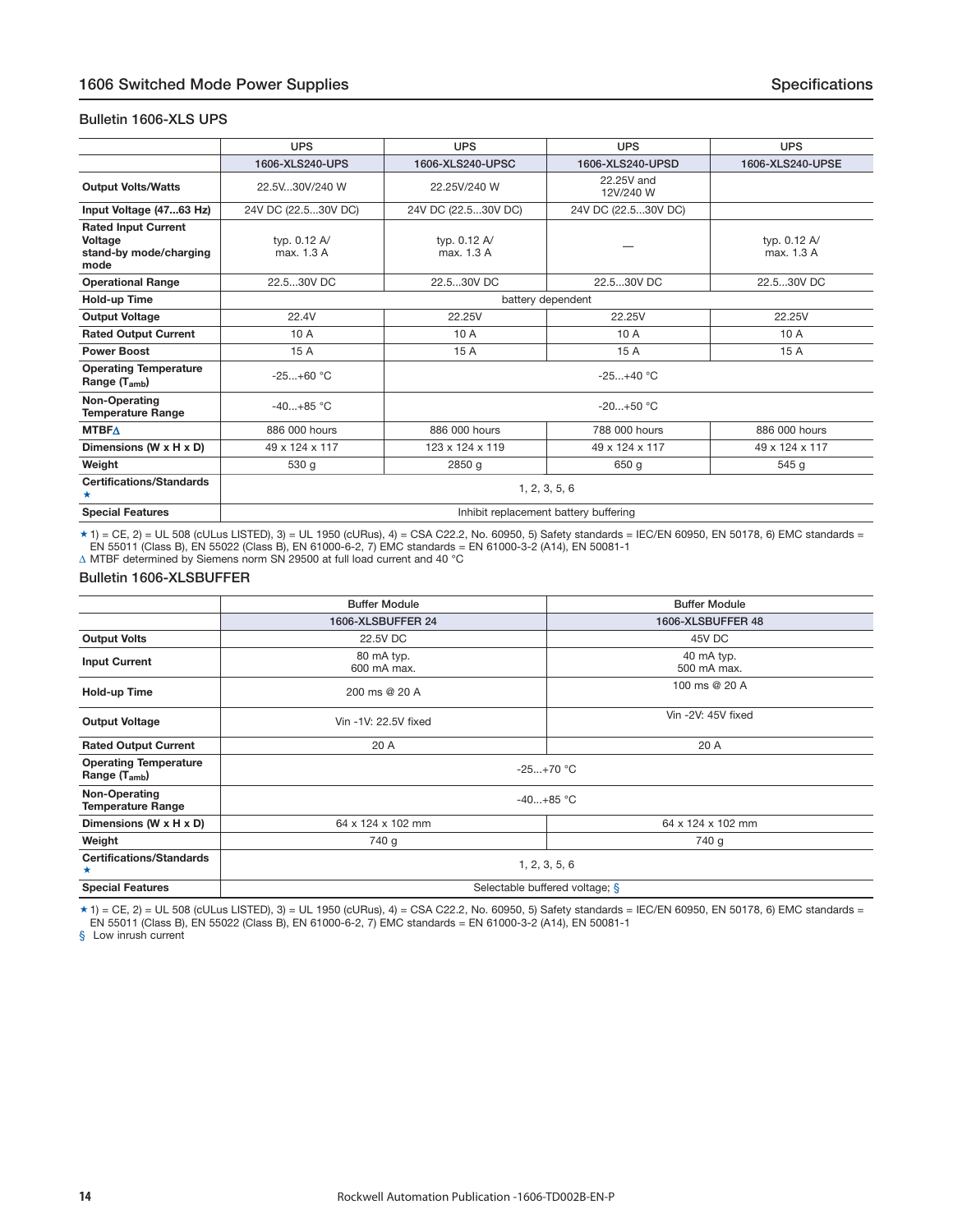#### <span id="page-13-0"></span>**Bulletin 1606-XLS UPS**

|                                                                         | <b>UPS</b>                            | <b>UPS</b>                 | <b>UPS</b>              | <b>UPS</b>                 |  |  |
|-------------------------------------------------------------------------|---------------------------------------|----------------------------|-------------------------|----------------------------|--|--|
|                                                                         | 1606-XLS240-UPS                       | 1606-XLS240-UPSC           | 1606-XLS240-UPSD        | 1606-XLS240-UPSE           |  |  |
| <b>Output Volts/Watts</b>                                               | 22.5V30V/240 W                        | 22.25V/240 W               | 22.25V and<br>12V/240 W |                            |  |  |
| Input Voltage (4763 Hz)                                                 | 24V DC (22.530V DC)                   | 24V DC (22.530V DC)        | 24V DC (22.530V DC)     |                            |  |  |
| <b>Rated Input Current</b><br>Voltage<br>stand-by mode/charging<br>mode | typ. 0.12 A/<br>max. 1.3 A            | typ. 0.12 A/<br>max. 1.3 A |                         | typ. 0.12 A/<br>max. 1.3 A |  |  |
| <b>Operational Range</b>                                                | 22.530V DC                            | 22.530V DC                 | 22.530V DC              | 22.530V DC                 |  |  |
| Hold-up Time                                                            |                                       | battery dependent          |                         |                            |  |  |
| <b>Output Voltage</b>                                                   | 22.4V                                 | 22.25V                     | 22.25V                  | 22.25V                     |  |  |
| <b>Rated Output Current</b>                                             | 10 A                                  | 10 A                       | 10 A                    | 10A                        |  |  |
| <b>Power Boost</b>                                                      | 15 A                                  | 15 A                       | 15 A                    | 15 A                       |  |  |
| <b>Operating Temperature</b><br>Range $(T_{amb})$                       | $-25+60$ °C                           | $-25+40 °C$                |                         |                            |  |  |
| Non-Operating<br><b>Temperature Range</b>                               | $-40+85$ °C                           | $-20+50$ °C                |                         |                            |  |  |
| <b>MTBFA</b>                                                            | 886 000 hours                         | 886 000 hours              | 788 000 hours           | 886 000 hours              |  |  |
| Dimensions (W x H x D)                                                  | 49 x 124 x 117                        | 123 x 124 x 119            | 49 x 124 x 117          | 49 x 124 x 117             |  |  |
| Weight                                                                  | 530 g                                 | 2850 g                     | 650 g                   | 545 g                      |  |  |
| <b>Certifications/Standards</b><br>*                                    | 1, 2, 3, 5, 6                         |                            |                         |                            |  |  |
| <b>Special Features</b>                                                 | Inhibit replacement battery buffering |                            |                         |                            |  |  |

 $\star$  1) = CE, 2) = UL 508 (cULus LISTED), 3) = UL 1950 (cURus), 4) = CSA C22.2, No. 60950, 5) Safety standards = IEC/EN 60950, EN 50178, 6) EMC standards = EN 55011 (Class B), EN 55022 (Class B), EN 61000-6-2, 7) EMC standards = EN 61000-3-2 (A14), EN 50081-1

Δ MTBF determined by Siemens norm SN 29500 at full load current and 40 °C

#### **Bulletin 1606-XLSBUFFER**

|                                                   | <b>Buffer Module</b>           | <b>Buffer Module</b>      |  |  |  |
|---------------------------------------------------|--------------------------------|---------------------------|--|--|--|
|                                                   | 1606-XLSBUFFER 24              | 1606-XLSBUFFER 48         |  |  |  |
| <b>Output Volts</b>                               | 22.5V DC                       | 45V DC                    |  |  |  |
| <b>Input Current</b>                              | 80 mA typ.<br>600 mA max.      | 40 mA typ.<br>500 mA max. |  |  |  |
| Hold-up Time                                      | 200 ms @ 20 A                  | 100 ms @ 20 A             |  |  |  |
| <b>Output Voltage</b>                             | Vin -1V: 22.5V fixed           | Vin -2V: 45V fixed        |  |  |  |
| <b>Rated Output Current</b>                       | 20 A                           | 20 A                      |  |  |  |
| <b>Operating Temperature</b><br>Range $(T_{amb})$ | $-25+70$ °C                    |                           |  |  |  |
| Non-Operating<br><b>Temperature Range</b>         |                                | $-40+85$ °C               |  |  |  |
| Dimensions (W x H x D)                            | 64 x 124 x 102 mm              | 64 x 124 x 102 mm         |  |  |  |
| Weight                                            | 740 g                          | 740 g                     |  |  |  |
| <b>Certifications/Standards</b><br>★              | 1, 2, 3, 5, 6                  |                           |  |  |  |
| <b>Special Features</b>                           | Selectable buffered voltage; § |                           |  |  |  |

 $\star$  1) = CE, 2) = UL 508 (cULus LISTED), 3) = UL 1950 (cURus), 4) = CSA C22.2, No. 60950, 5) Safety standards = IEC/EN 60950, EN 50178, 6) EMC standards = EN 55011 (Class B), EN 55022 (Class B), EN 61000-6-2, 7) EMC standards = EN 61000-3-2 (A14), EN 50081-1

§ Low inrush current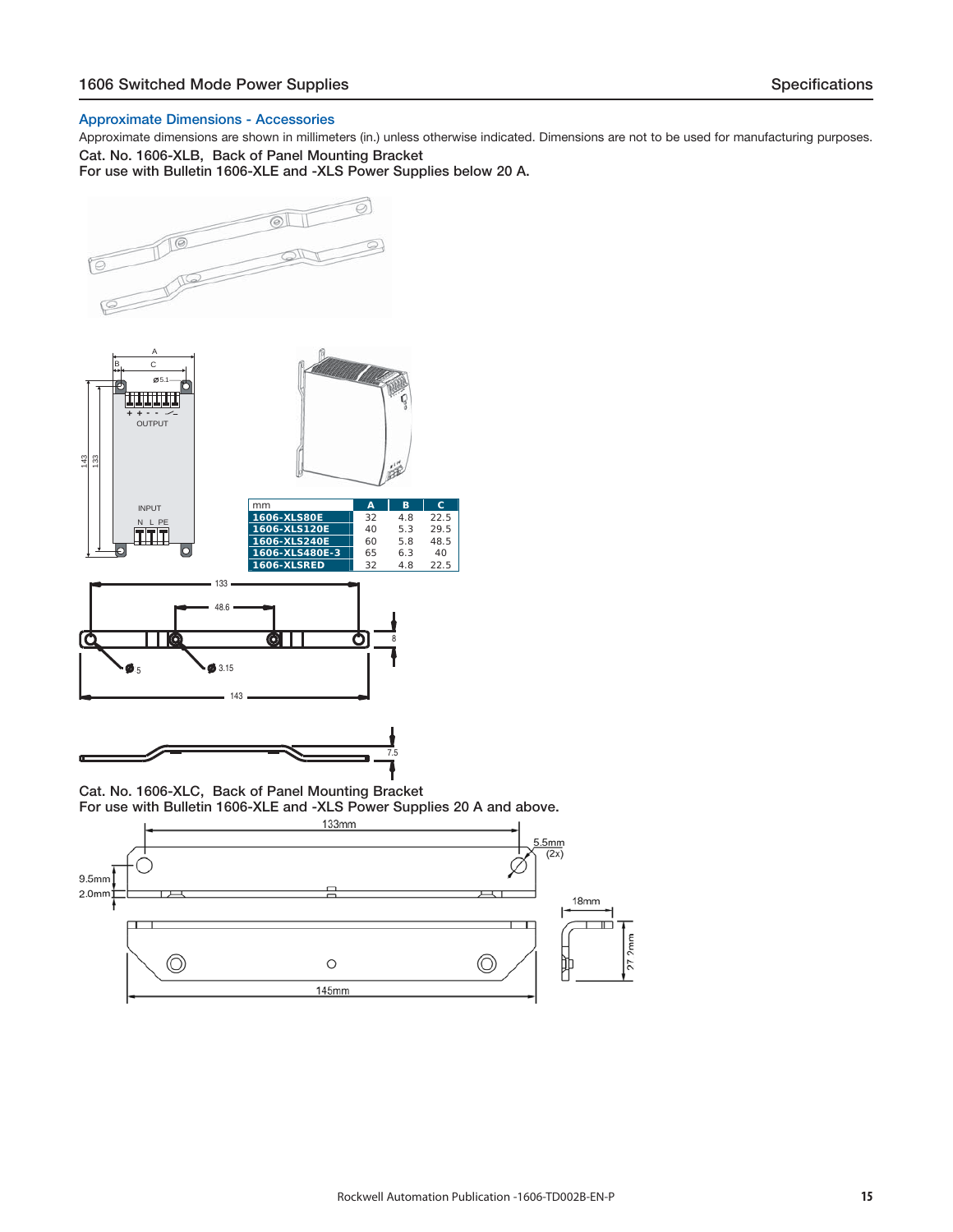#### **Approximate Dimensions - Accessories**

Approximate dimensions are shown in millimeters (in.) unless otherwise indicated. Dimensions are not to be used for manufacturing purposes. **Cat. No. 1606-XLB, Back of Panel Mounting Bracket** 

**For use with Bulletin 1606-XLE and -XLS Power Supplies below 20 A.**



**Cat. No. 1606-XLC, Back of Panel Mounting Bracket For use with Bulletin 1606-XLE and -XLS Power Supplies 20 A and above.**

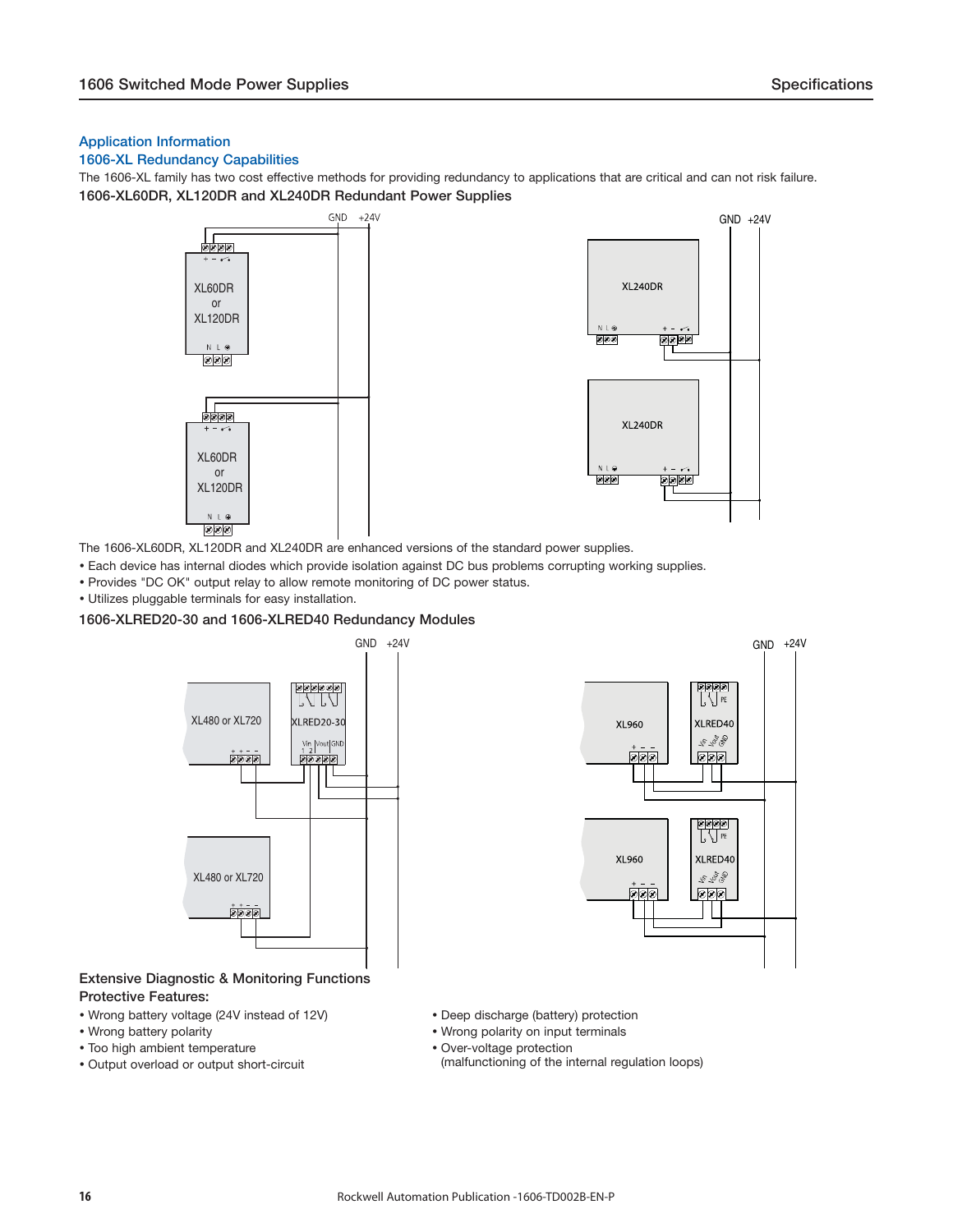#### <span id="page-15-0"></span>**Application Information**

#### **1606-XL Redundancy Capabilities**

The 1606-XL family has two cost effective methods for providing redundancy to applications that are critical and can not risk failure. **1606-XL60DR, XL120DR and XL240DR Redundant Power Supplies**



The 1606-XL60DR, XL120DR and XL240DR are enhanced versions of the standard power supplies.

- Each device has internal diodes which provide isolation against DC bus problems corrupting working supplies.
- Provides "DC OK" output relay to allow remote monitoring of DC power status.
- Utilizes pluggable terminals for easy installation.

#### **1606-XLRED20-30 and 1606-XLRED40 Redundancy Modules**



#### **Extensive Diagnostic & Monitoring Functions Protective Features:**

- 
- 
- Too high ambient temperature **COVET 100 COVET** Over-voltage protection
- 



- Wrong battery voltage (24V instead of 12V) Deep discharge (battery) protection
- Wrong battery polarity **Wrong polarity on the UV** victor of Metal victor of Wrong polarity on input terminals
	-
- Output overload or output short-circuit (malfunctioning of the internal regulation loops)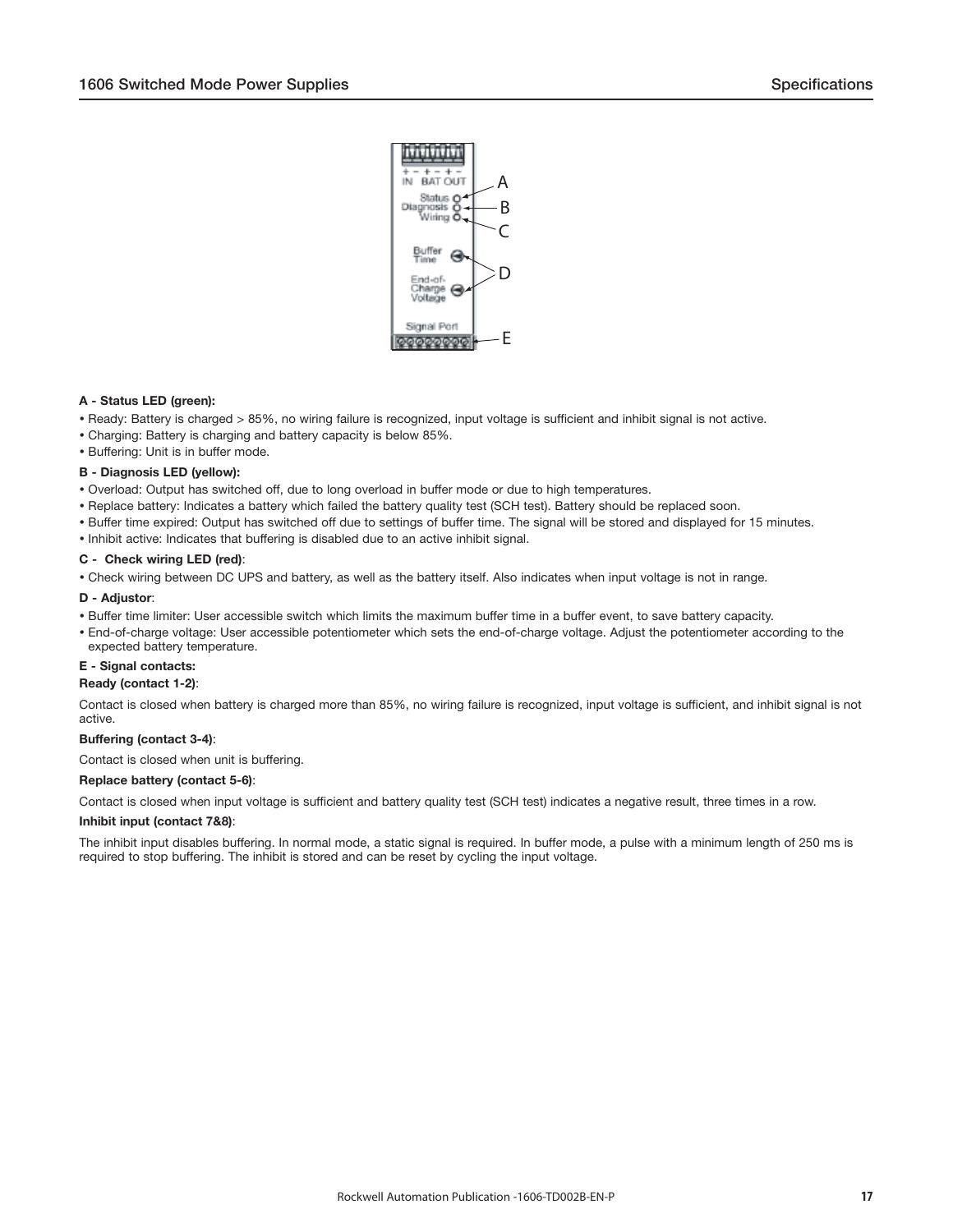

#### **A - Status LED (green):**

- Ready: Battery is charged > 85%, no wiring failure is recognized, input voltage is sufficient and inhibit signal is not active.
- Charging: Battery is charging and battery capacity is below 85%.
- Buffering: Unit is in buffer mode.

#### **B - Diagnosis LED (yellow):**

- Overload: Output has switched off, due to long overload in buffer mode or due to high temperatures.
- Replace battery: Indicates a battery which failed the battery quality test (SCH test). Battery should be replaced soon.
- Buffer time expired: Output has switched off due to settings of buffer time. The signal will be stored and displayed for 15 minutes.
- Inhibit active: Indicates that buffering is disabled due to an active inhibit signal.

#### **C - Check wiring LED (red)**:

Check wiring between DC UPS and battery, as well as the battery itself. Also indicates when input voltage is not in range.

#### **D - Adjustor**:

- Buffer time limiter: User accessible switch which limits the maximum buffer time in a buffer event, to save battery capacity.
- End-of-charge voltage: User accessible potentiometer which sets the end-of-charge voltage. Adjust the potentiometer according to the expected battery temperature.

#### **E - Signal contacts:**

#### **Ready (contact 1-2)**:

Contact is closed when battery is charged more than 85%, no wiring failure is recognized, input voltage is sufficient, and inhibit signal is not active.

#### **Buffering (contact 3-4)**:

Contact is closed when unit is buffering.

#### **Replace battery (contact 5-6)**:

Contact is closed when input voltage is sufficient and battery quality test (SCH test) indicates a negative result, three times in a row.

#### **Inhibit input (contact 7&8)**:

The inhibit input disables buffering. In normal mode, a static signal is required. In buffer mode, a pulse with a minimum length of 250 ms is required to stop buffering. The inhibit is stored and can be reset by cycling the input voltage.